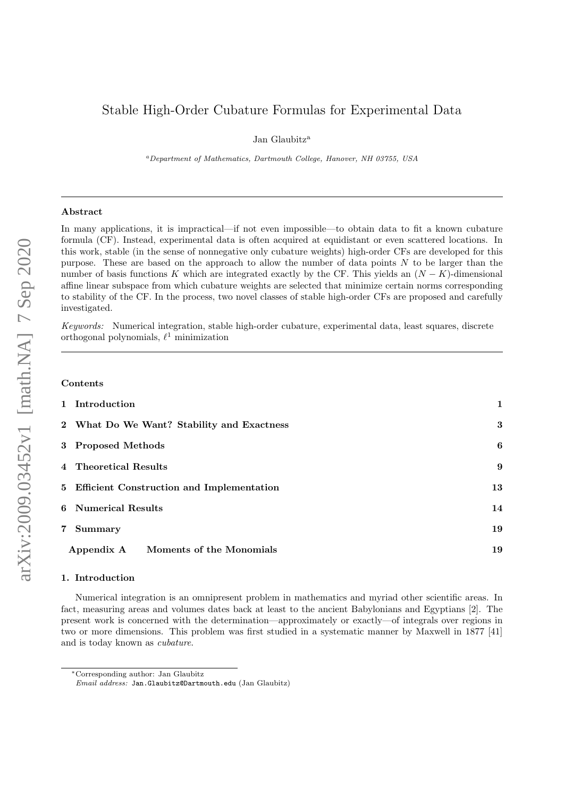# Stable High-Order Cubature Formulas for Experimental Data

Jan Glaubitz<sup>a</sup>

<sup>a</sup>Department of Mathematics, Dartmouth College, Hanover, NH 03755, USA

#### Abstract

In many applications, it is impractical—if not even impossible—to obtain data to fit a known cubature formula (CF). Instead, experimental data is often acquired at equidistant or even scattered locations. In this work, stable (in the sense of nonnegative only cubature weights) high-order CFs are developed for this purpose. These are based on the approach to allow the number of data points N to be larger than the number of basis functions K which are integrated exactly by the CF. This yields an  $(N - K)$ -dimensional affine linear subspace from which cubature weights are selected that minimize certain norms corresponding to stability of the CF. In the process, two novel classes of stable high-order CFs are proposed and carefully investigated.

Keywords: Numerical integration, stable high-order cubature, experimental data, least squares, discrete orthogonal polynomials,  $\ell^1$  minimization

#### Contents

| 1 Introduction                              | 1  |
|---------------------------------------------|----|
| 2 What Do We Want? Stability and Exactness  | 3  |
| 3 Proposed Methods                          | 6  |
| 4 Theoretical Results                       | 9  |
| 5 Efficient Construction and Implementation | 13 |
| 6 Numerical Results                         | 14 |
| 7 Summary                                   | 19 |
| Moments of the Monomials<br>Appendix A      | 19 |
|                                             |    |

#### 1. Introduction

Numerical integration is an omnipresent problem in mathematics and myriad other scientific areas. In fact, measuring areas and volumes dates back at least to the ancient Babylonians and Egyptians [2]. The present work is concerned with the determination—approximately or exactly—of integrals over regions in two or more dimensions. This problem was first studied in a systematic manner by Maxwell in 1877 [41] and is today known as cubature.

<sup>∗</sup>Corresponding author: Jan Glaubitz

Email address: Jan.Glaubitz@Dartmouth.edu (Jan Glaubitz)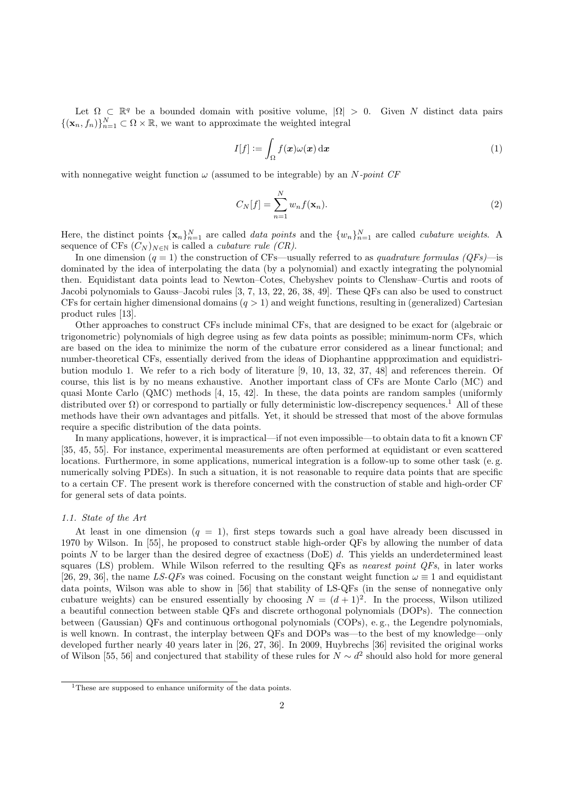Let  $\Omega \subset \mathbb{R}^q$  be a bounded domain with positive volume,  $|\Omega| > 0$ . Given N distinct data pairs  ${({\mathbf{x}}_n, f_n)}_{n=1}^N \subset \Omega \times \mathbb{R}$ , we want to approximate the weighted integral

$$
I[f] := \int_{\Omega} f(\mathbf{x}) \omega(\mathbf{x}) \, \mathrm{d}\mathbf{x} \tag{1}
$$

with nonnegative weight function  $\omega$  (assumed to be integrable) by an N-point CF

$$
C_N[f] = \sum_{n=1}^N w_n f(\mathbf{x}_n). \tag{2}
$$

Here, the distinct points  $\{x_n\}_{n=1}^N$  are called *data points* and the  $\{w_n\}_{n=1}^N$  are called *cubature weights*. A sequence of CFs  $(C_N)_{N\in\mathbb{N}}$  is called a *cubature rule (CR)*.

In one dimension  $(q = 1)$  the construction of CFs—usually referred to as *quadrature formulas (QFs)*—is dominated by the idea of interpolating the data (by a polynomial) and exactly integrating the polynomial then. Equidistant data points lead to Newton–Cotes, Chebyshev points to Clenshaw–Curtis and roots of Jacobi polynomials to Gauss–Jacobi rules [3, 7, 13, 22, 26, 38, 49]. These QFs can also be used to construct CFs for certain higher dimensional domains  $(q > 1)$  and weight functions, resulting in (generalized) Cartesian product rules [13].

Other approaches to construct CFs include minimal CFs, that are designed to be exact for (algebraic or trigonometric) polynomials of high degree using as few data points as possible; minimum-norm CFs, which are based on the idea to minimize the norm of the cubature error considered as a linear functional; and number-theoretical CFs, essentially derived from the ideas of Diophantine appproximation and equidistribution modulo 1. We refer to a rich body of literature [9, 10, 13, 32, 37, 48] and references therein. Of course, this list is by no means exhaustive. Another important class of CFs are Monte Carlo (MC) and quasi Monte Carlo (QMC) methods [4, 15, 42]. In these, the data points are random samples (uniformly distributed over  $\Omega$ ) or correspond to partially or fully deterministic low-discrepency sequences.<sup>1</sup> All of these methods have their own advantages and pitfalls. Yet, it should be stressed that most of the above formulas require a specific distribution of the data points.

In many applications, however, it is impractical—if not even impossible—to obtain data to fit a known CF [35, 45, 55]. For instance, experimental measurements are often performed at equidistant or even scattered locations. Furthermore, in some applications, numerical integration is a follow-up to some other task (e. g. numerically solving PDEs). In such a situation, it is not reasonable to require data points that are specific to a certain CF. The present work is therefore concerned with the construction of stable and high-order CF for general sets of data points.

# 1.1. State of the Art

At least in one dimension  $(q = 1)$ , first steps towards such a goal have already been discussed in 1970 by Wilson. In [55], he proposed to construct stable high-order QFs by allowing the number of data points N to be larger than the desired degree of exactness (DoE) d. This yields an underdetermined least squares (LS) problem. While Wilson referred to the resulting QFs as *nearest point QFs*, in later works [26, 29, 36], the name LS-QFs was coined. Focusing on the constant weight function  $\omega \equiv 1$  and equidistant data points, Wilson was able to show in [56] that stability of LS-QFs (in the sense of nonnegative only cubature weights) can be ensured essentially by choosing  $N = (d+1)^2$ . In the process, Wilson utilized a beautiful connection between stable QFs and discrete orthogonal polynomials (DOPs). The connection between (Gaussian) QFs and continuous orthogonal polynomials (COPs), e. g., the Legendre polynomials, is well known. In contrast, the interplay between QFs and DOPs was—to the best of my knowledge—only developed further nearly 40 years later in [26, 27, 36]. In 2009, Huybrechs [36] revisited the original works of Wilson [55, 56] and conjectured that stability of these rules for  $N \sim d^2$  should also hold for more general

<sup>&</sup>lt;sup>1</sup>These are supposed to enhance uniformity of the data points.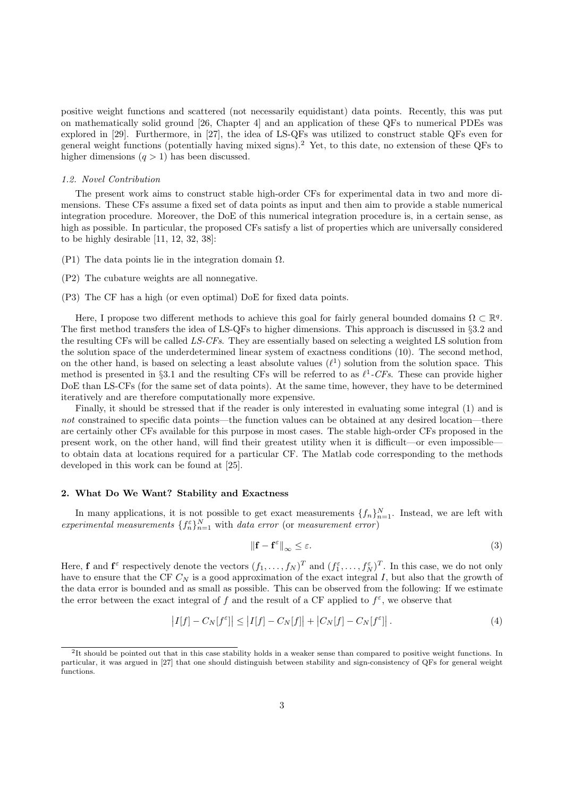positive weight functions and scattered (not necessarily equidistant) data points. Recently, this was put on mathematically solid ground [26, Chapter 4] and an application of these QFs to numerical PDEs was explored in [29]. Furthermore, in [27], the idea of LS-QFs was utilized to construct stable QFs even for general weight functions (potentially having mixed signs).<sup>2</sup> Yet, to this date, no extension of these QFs to higher dimensions  $(q > 1)$  has been discussed.

#### 1.2. Novel Contribution

The present work aims to construct stable high-order CFs for experimental data in two and more dimensions. These CFs assume a fixed set of data points as input and then aim to provide a stable numerical integration procedure. Moreover, the DoE of this numerical integration procedure is, in a certain sense, as high as possible. In particular, the proposed CFs satisfy a list of properties which are universally considered to be highly desirable [11, 12, 32, 38]:

- (P1) The data points lie in the integration domain  $\Omega$ .
- (P2) The cubature weights are all nonnegative.
- (P3) The CF has a high (or even optimal) DoE for fixed data points.

Here, I propose two different methods to achieve this goal for fairly general bounded domains  $\Omega \subset \mathbb{R}^q$ . The first method transfers the idea of LS-QFs to higher dimensions. This approach is discussed in §3.2 and the resulting CFs will be called LS-CFs. They are essentially based on selecting a weighted LS solution from the solution space of the underdetermined linear system of exactness conditions (10). The second method, on the other hand, is based on selecting a least absolute values  $(\ell^1)$  solution from the solution space. This method is presented in §3.1 and the resulting CFs will be referred to as  $\ell^1$ -CFs. These can provide higher DoE than LS-CFs (for the same set of data points). At the same time, however, they have to be determined iteratively and are therefore computationally more expensive.

Finally, it should be stressed that if the reader is only interested in evaluating some integral (1) and is not constrained to specific data points—the function values can be obtained at any desired location—there are certainly other CFs available for this purpose in most cases. The stable high-order CFs proposed in the present work, on the other hand, will find their greatest utility when it is difficult—or even impossible to obtain data at locations required for a particular CF. The Matlab code corresponding to the methods developed in this work can be found at [25].

# 2. What Do We Want? Stability and Exactness

In many applications, it is not possible to get exact measurements  $\{f_n\}_{n=1}^N$ . Instead, we are left with experimental measurements  $\{f_n^{\varepsilon}\}_{n=1}^N$  with data error (or measurement error)

$$
\left\| \mathbf{f} - \mathbf{f}^{\varepsilon} \right\|_{\infty} \le \varepsilon. \tag{3}
$$

Here, **f** and  $f^{\varepsilon}$  respectively denote the vectors  $(f_1, \ldots, f_N)^T$  and  $(f_1^{\varepsilon}, \ldots, f_N^{\varepsilon})^T$ . In this case, we do not only have to ensure that the CF  $C_N$  is a good approximation of the exact integral I, but also that the growth of the data error is bounded and as small as possible. This can be observed from the following: If we estimate the error between the exact integral of f and the result of a CF applied to  $f^{\varepsilon}$ , we observe that

$$
\left|I[f] - C_N[f^{\varepsilon}]\right| \le \left|I[f] - C_N[f]\right| + \left|C_N[f] - C_N[f^{\varepsilon}]\right|.
$$
\n(4)

<sup>&</sup>lt;sup>2</sup>It should be pointed out that in this case stability holds in a weaker sense than compared to positive weight functions. In particular, it was argued in [27] that one should distinguish between stability and sign-consistency of QFs for general weight functions.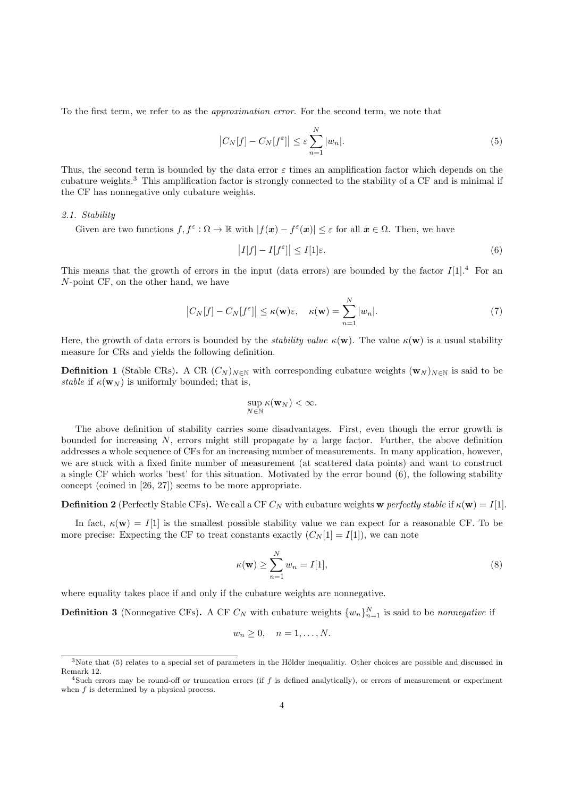To the first term, we refer to as the *approximation error*. For the second term, we note that

$$
\left|C_N[f] - C_N[f^{\varepsilon}]\right| \le \varepsilon \sum_{n=1}^N |w_n|.\tag{5}
$$

Thus, the second term is bounded by the data error  $\varepsilon$  times an amplification factor which depends on the cubature weights.<sup>3</sup> This amplification factor is strongly connected to the stability of a CF and is minimal if the CF has nonnegative only cubature weights.

# 2.1. Stability

Given are two functions  $f, f^{\varepsilon} : \Omega \to \mathbb{R}$  with  $|f(x) - f^{\varepsilon}(x)| \leq \varepsilon$  for all  $x \in \Omega$ . Then, we have

$$
\left|I[f] - I[f^{\varepsilon}]\right| \le I[1]\varepsilon. \tag{6}
$$

This means that the growth of errors in the input (data errors) are bounded by the factor  $I[1].^4$  For an N-point CF, on the other hand, we have

$$
\left|C_N[f] - C_N[f^{\varepsilon}] \right| \le \kappa(\mathbf{w})\varepsilon, \quad \kappa(\mathbf{w}) = \sum_{n=1}^N |w_n|.
$$
 (7)

Here, the growth of data errors is bounded by the *stability value*  $\kappa(\mathbf{w})$ . The value  $\kappa(\mathbf{w})$  is a usual stability measure for CRs and yields the following definition.

**Definition 1** (Stable CRs). A CR  $(C_N)_{N\in\mathbb{N}}$  with corresponding cubature weights  $(\mathbf{w}_N)_{N\in\mathbb{N}}$  is said to be stable if  $\kappa(\mathbf{w}_N)$  is uniformly bounded; that is,

$$
\sup_{N\in\mathbb{N}}\kappa(\mathbf{w}_N)<\infty.
$$

The above definition of stability carries some disadvantages. First, even though the error growth is bounded for increasing  $N$ , errors might still propagate by a large factor. Further, the above definition addresses a whole sequence of CFs for an increasing number of measurements. In many application, however, we are stuck with a fixed finite number of measurement (at scattered data points) and want to construct a single CF which works 'best' for this situation. Motivated by the error bound (6), the following stability concept (coined in [26, 27]) seems to be more appropriate.

**Definition 2** (Perfectly Stable CFs). We call a CF  $C_N$  with cubature weights w perfectly stable if  $\kappa(\mathbf{w}) = I[1]$ .

In fact,  $\kappa(\mathbf{w}) = I[1]$  is the smallest possible stability value we can expect for a reasonable CF. To be more precise: Expecting the CF to treat constants exactly  $(C_N[1] = I[1])$ , we can note

$$
\kappa(\mathbf{w}) \ge \sum_{n=1}^{N} w_n = I[1],\tag{8}
$$

where equality takes place if and only if the cubature weights are nonnegative.

**Definition 3** (Nonnegative CFs). A CF  $C_N$  with cubature weights  $\{w_n\}_{n=1}^N$  is said to be *nonnegative* if

$$
w_n \ge 0, \quad n = 1, \dots, N.
$$

 $3$ Note that (5) relates to a special set of parameters in the Hölder inequalitiy. Other choices are possible and discussed in Remark 12.

<sup>&</sup>lt;sup>4</sup>Such errors may be round-off or truncation errors (if f is defined analytically), or errors of measurement or experiment when  $f$  is determined by a physical process.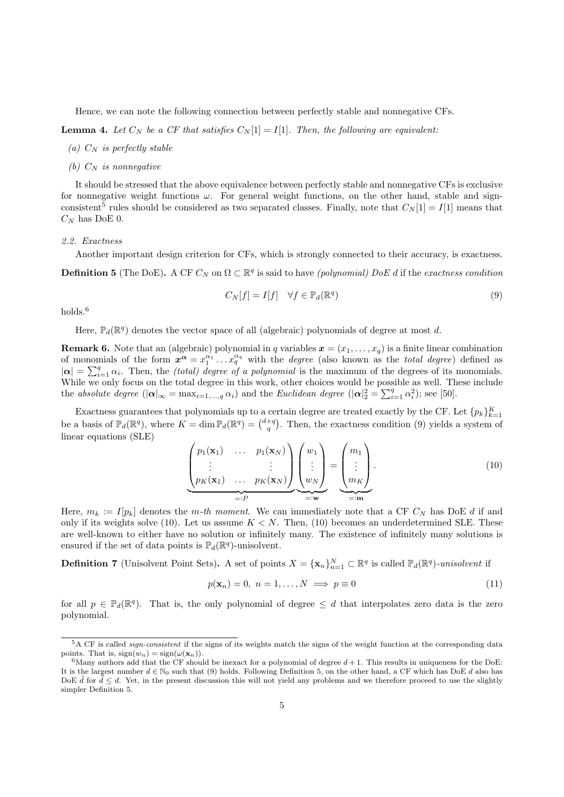Hence, we can note the following connection between perfectly stable and nonnegative CFs.

**Lemma 4.** Let  $C_N$  be a CF that satisfies  $C_N[1] = I[1]$ . Then, the following are equivalent:

- (a)  $C_N$  is perfectly stable
- (b)  $C_N$  is nonnegative

It should be stressed that the above equivalence between perfectly stable and nonnegative CFs is exclusive for nonnegative weight functions  $\omega$ . For general weight functions, on the other hand, stable and signconsistent<sup>5</sup> rules should be considered as two separated classes. Finally, note that  $C_N[1] = I[1]$  means that  $C_N$  has DoE 0.

#### 2.2. Exactness

Another important design criterion for CFs, which is strongly connected to their accuracy, is exactness.

**Definition 5** (The DoE). A CF  $C_N$  on  $\Omega \subset \mathbb{R}^q$  is said to have *(polynomial) DoE d* if the exactness condition

$$
C_N[f] = I[f] \quad \forall f \in \mathbb{P}_d(\mathbb{R}^q)
$$
\n
$$
(9)
$$

holds.<sup>6</sup>

Here,  $\mathbb{P}_d(\mathbb{R}^q)$  denotes the vector space of all (algebraic) polynomials of degree at most d.

**Remark 6.** Note that an (algebraic) polynomial in q variables  $\mathbf{x} = (x_1, \ldots, x_q)$  is a finite linear combination of monomials of the form  $x^{\alpha} = x_1^{\alpha_1} \dots x_q^{\alpha_q}$  with the *degree* (also known as the *total degree*) defined as  $|\alpha| = \sum_{i=1}^{q} \alpha_i$ . Then, the *(total) degree of a polynomial* is the maximum of the degrees of its monomials. While we only focus on the total degree in this work, other choices would be possible as well. These include the absolute degree  $(|\alpha|_{\infty} = \max_{i=1,\dots,q} \alpha_i)$  and the Euclidean degree  $(|\alpha|_2^2 = \sum_{i=1}^q \alpha_i^2)$ ; see [50].

Exactness guarantees that polynomials up to a certain degree are treated exactly by the CF. Let  ${p_k}_{k=1}^K$ be a basis of  $\mathbb{P}_d(\mathbb{R}^q)$ , where  $K = \dim \mathbb{P}_d(\mathbb{R}^q) = {d+q \choose q}$ . Then, the exactness condition (9) yields a system of linear equations (SLE)

$$
\underbrace{\begin{pmatrix} p_1(\mathbf{x}_1) & \dots & p_1(\mathbf{x}_N) \\ \vdots & & \vdots \\ p_K(\mathbf{x}_1) & \dots & p_K(\mathbf{x}_N) \end{pmatrix}}_{=:P} \underbrace{\begin{pmatrix} w_1 \\ \vdots \\ w_N \end{pmatrix}}_{=:w} = \underbrace{\begin{pmatrix} m_1 \\ \vdots \\ m_K \end{pmatrix}}_{=:m}.
$$
\n(10)

Here,  $m_k := I[p_k]$  denotes the m-th moment. We can immediately note that a CF  $C_N$  has DoE d if and only if its weights solve (10). Let us assume  $K < N$ . Then, (10) becomes an underdetermined SLE. These are well-known to either have no solution or infinitely many. The existence of infinitely many solutions is ensured if the set of data points is  $\mathbb{P}_d(\mathbb{R}^q)$ -unisolvent.

**Definition 7** (Unisolvent Point Sets). A set of points  $X = {\mathbf{x}_n}_{n=1}^N \subset \mathbb{R}^q$  is called  $\mathbb{P}_d(\mathbb{R}^q)$ -unisolvent if

$$
p(\mathbf{x}_n) = 0, \ n = 1, \dots, N \implies p \equiv 0 \tag{11}
$$

for all  $p \in \mathbb{P}_d(\mathbb{R}^q)$ . That is, the only polynomial of degree  $\leq d$  that interpolates zero data is the zero polynomial.

<sup>&</sup>lt;sup>5</sup>A CF is called *sign-consistent* if the signs of its weights match the signs of the weight function at the corresponding data points. That is,  $sign(w_n) = sign(\omega(\mathbf{x}_n)).$ 

 $6$ Many authors add that the CF should be inexact for a polynomial of degree  $d+1$ . This results in uniqueness for the DoE: It is the largest number  $d \in \mathbb{N}_0$  such that (9) holds. Following Definition 5, on the other hand, a CF which has DoE d also has DoE  $\tilde{d}$  for  $\tilde{d} < d$ . Yet, in the present discussion this will not yield any problems and we therefore proceed to use the slightly simpler Definition 5.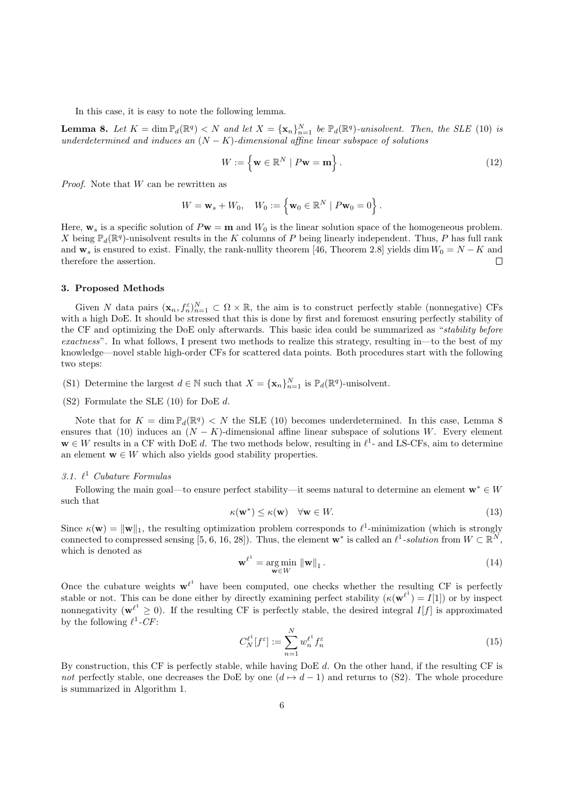In this case, it is easy to note the following lemma.

**Lemma 8.** Let  $K = \dim \mathbb{P}_d(\mathbb{R}^q) < N$  and let  $X = {\mathbf{x}_n}_{n=1}^N$  be  $\mathbb{P}_d(\mathbb{R}^q)$ -unisolvent. Then, the SLE (10) is underdetermined and induces an  $(N - K)$ -dimensional affine linear subspace of solutions

$$
W := \left\{ \mathbf{w} \in \mathbb{R}^N \mid P\mathbf{w} = \mathbf{m} \right\}.
$$
 (12)

*Proof.* Note that  $W$  can be rewritten as

$$
W = \mathbf{w}_s + W_0, \quad W_0 := \left\{ \mathbf{w}_0 \in \mathbb{R}^N \mid P\mathbf{w}_0 = 0 \right\}.
$$

Here,  $\mathbf{w}_s$  is a specific solution of  $P\mathbf{w} = \mathbf{m}$  and  $W_0$  is the linear solution space of the homogeneous problem. X being  $\mathbb{P}_d(\mathbb{R}^q)$ -unisolvent results in the K columns of P being linearly independent. Thus, P has full rank and  $\mathbf{w}_s$  is ensured to exist. Finally, the rank-nullity theorem [46, Theorem 2.8] yields dim  $W_0 = N - K$  and therefore the assertion.  $\Box$ 

# 3. Proposed Methods

Given N data pairs  $(\mathbf{x}_n, f_n^{\varepsilon})_{n=1}^N \subset \Omega \times \mathbb{R}$ , the aim is to construct perfectly stable (nonnegative) CFs with a high DoE. It should be stressed that this is done by first and foremost ensuring perfectly stability of the CF and optimizing the DoE only afterwards. This basic idea could be summarized as "stability before exactness". In what follows, I present two methods to realize this strategy, resulting in—to the best of my knowledge—novel stable high-order CFs for scattered data points. Both procedures start with the following two steps:

(S1) Determine the largest  $d \in \mathbb{N}$  such that  $X = {\mathbf{x}_n}_{n=1}^N$  is  $\mathbb{P}_d(\mathbb{R}^q)$ -unisolvent.

(S2) Formulate the SLE (10) for DoE d.

Note that for  $K = \dim \mathbb{P}_d(\mathbb{R}^q) < N$  the SLE (10) becomes underdetermined. In this case, Lemma 8 ensures that (10) induces an  $(N - K)$ -dimensional affine linear subspace of solutions W. Every element  $\mathbf{w} \in W$  results in a CF with DoE d. The two methods below, resulting in  $\ell^1$ - and LS-CFs, aim to determine an element  $\mathbf{w} \in W$  which also yields good stability properties.

# 3.1.  $\ell^1$  Cubature Formulas

Following the main goal—to ensure perfect stability—it seems natural to determine an element  $\mathbf{w}^* \in W$ such that

$$
\kappa(\mathbf{w}^*) \le \kappa(\mathbf{w}) \quad \forall \mathbf{w} \in W. \tag{13}
$$

Since  $\kappa(\mathbf{w}) = \|\mathbf{w}\|_1$ , the resulting optimization problem corresponds to  $\ell^1$ -minimization (which is strongly connected to compressed sensing [5, 6, 16, 28]). Thus, the element  $\mathbf{w}^*$  is called an  $\ell^1$ -solution from  $W \subset \mathbb{R}^N$ , which is denoted as

$$
\mathbf{w}^{\ell^1} = \underset{\mathbf{w} \in W}{\arg \min} \|\mathbf{w}\|_1. \tag{14}
$$

Once the cubature weights  $w^{\ell^1}$  have been computed, one checks whether the resulting CF is perfectly stable or not. This can be done either by directly examining perfect stability  $(\kappa(\mathbf{w}^{\ell^1}) = I[1])$  or by inspect nonnegativity ( $\mathbf{w}^{\ell^1} \geq 0$ ). If the resulting CF is perfectly stable, the desired integral  $I[f]$  is approximated by the following  $\ell^1$ -CF:

$$
C_N^{\ell^1}[f^{\varepsilon}] := \sum_{n=1}^N w_n^{\ell^1} f_n^{\varepsilon} \tag{15}
$$

By construction, this CF is perfectly stable, while having DoE d. On the other hand, if the resulting CF is not perfectly stable, one decreases the DoE by one  $(d \mapsto d - 1)$  and returns to (S2). The whole procedure is summarized in Algorithm 1.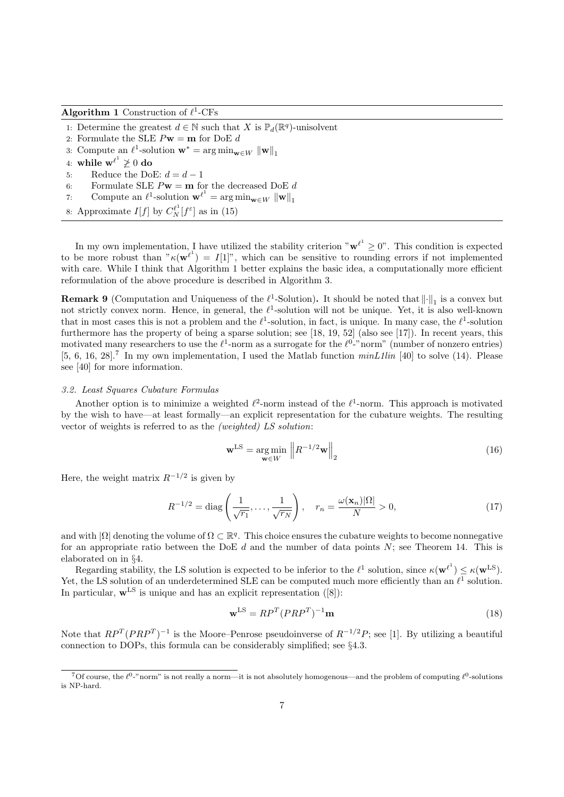# Algorithm 1 Construction of  $\ell^1$ -CFs

- 1: Determine the greatest  $d \in \mathbb{N}$  such that X is  $\mathbb{P}_d(\mathbb{R}^q)$ -unisolvent
- 2: Formulate the SLE  $P\mathbf{w}=\mathbf{m}$  for DoE  $d$
- 3: Compute an  $\ell^1$ -solution  $\mathbf{w}^* = \arg \min_{\mathbf{w} \in W} \|\mathbf{w}\|_1$
- 4: while  $\mathbf{w}^{\ell^1} \not\geq 0 \textbf{ do}$
- 5: Reduce the DoE:  $d = d 1$
- 6: Formulate SLE  $P$ **w** = **m** for the decreased DoE d
- 7: Compute an  $\ell^1$ -solution  $\mathbf{w}^{\ell^1} = \arg \min_{\mathbf{w} \in W} \|\mathbf{w}\|_1$
- 8: Approximate  $I[f]$  by  $C_N^{\ell^1}[f^{\varepsilon}]$  as in (15)

In my own implementation, I have utilized the stability criterion " $w^{\ell^1} \geq 0$ ". This condition is expected to be more robust than " $\kappa(\mathbf{w}^{\ell}) = I[1]^n$ , which can be sensitive to rounding errors if not implemented with care. While I think that Algorithm 1 better explains the basic idea, a computationally more efficient reformulation of the above procedure is described in Algorithm 3.

**Remark 9** (Computation and Uniqueness of the  $\ell^1$ -Solution). It should be noted that  $\|\cdot\|_1$  is a convex but not strictly convex norm. Hence, in general, the  $\ell^1$ -solution will not be unique. Yet, it is also well-known that in most cases this is not a problem and the  $\ell^1$ -solution, in fact, is unique. In many case, the  $\ell^1$ -solution furthermore has the property of being a sparse solution; see [18, 19, 52] (also see [17]). In recent years, this motivated many researchers to use the  $\ell^1$ -norm as a surrogate for the  $\ell^0$ -"norm" (number of nonzero entries) [5, 6, 16, 28].<sup>7</sup> In my own implementation, I used the Matlab function  $minL1lin$  [40] to solve (14). Please see [40] for more information.

#### 3.2. Least Squares Cubature Formulas

Another option is to minimize a weighted  $\ell^2$ -norm instead of the  $\ell^1$ -norm. This approach is motivated by the wish to have—at least formally—an explicit representation for the cubature weights. The resulting vector of weights is referred to as the (weighted) LS solution:

$$
\mathbf{w}^{\text{LS}} = \underset{\mathbf{w} \in W}{\text{arg min}} \left\| R^{-1/2} \mathbf{w} \right\|_2 \tag{16}
$$

Here, the weight matrix  $R^{-1/2}$  is given by

$$
R^{-1/2} = \text{diag}\left(\frac{1}{\sqrt{r_1}}, \dots, \frac{1}{\sqrt{r_N}}\right), \quad r_n = \frac{\omega(\mathbf{x}_n)|\Omega|}{N} > 0,
$$
\n(17)

and with  $|\Omega|$  denoting the volume of  $\Omega \subset \mathbb{R}^q$ . This choice ensures the cubature weights to become nonnegative for an appropriate ratio between the DoE  $d$  and the number of data points  $N$ ; see Theorem 14. This is elaborated on in §4.

Regarding stability, the LS solution is expected to be inferior to the  $\ell^1$  solution, since  $\kappa(\mathbf{w}^{\ell^1}) \leq \kappa(\mathbf{w}^{\text{LS}})$ . Yet, the LS solution of an underdetermined SLE can be computed much more efficiently than an  $\ell^1$  solution. In particular,  $\mathbf{w}^{\text{LS}}$  is unique and has an explicit representation ([8]):

$$
\mathbf{w}^{\text{LS}} = RP^T (PRP^T)^{-1} \mathbf{m} \tag{18}
$$

Note that  $RP^T(PRP^T)^{-1}$  is the Moore–Penrose pseudoinverse of  $R^{-1/2}P$ ; see [1]. By utilizing a beautiful connection to DOPs, this formula can be considerably simplified; see §4.3.

<sup>&</sup>lt;sup>7</sup>Of course, the  $\ell^0$ -"norm" is not really a norm—it is not absolutely homogenous—and the problem of computing  $\ell^0$ -solutions is NP-hard.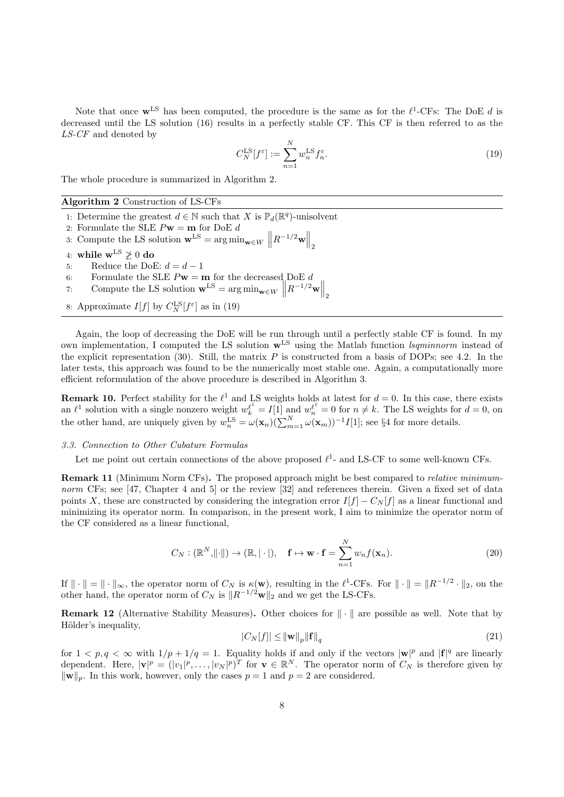Note that once  $\mathbf{w}^{\text{LS}}$  has been computed, the procedure is the same as for the  $\ell^1$ -CFs: The DoE d is decreased until the LS solution (16) results in a perfectly stable CF. This CF is then referred to as the LS-CF and denoted by

$$
C_N^{\text{LS}}[f^\varepsilon] := \sum_{n=1}^N w_n^{\text{LS}} f_n^\varepsilon. \tag{19}
$$

The whole procedure is summarized in Algorithm 2.

Algorithm 2 Construction of LS-CFs

- 1: Determine the greatest  $d \in \mathbb{N}$  such that X is  $\mathbb{P}_d(\mathbb{R}^q)$ -unisolvent
- 2: Formulate the SLE  $P$ **w** = **m** for DoE d
- 3: Compute the LS solution  $\mathbf{w}^{\text{LS}} = \arg \min_{\mathbf{w} \in W} \left\| R^{-1/2} \mathbf{w} \right\|_2$
- 4: while  $w^{LS} \not\geq 0$  do
- 5: Reduce the DoE:  $d = d 1$
- 6: Formulate the SLE  $P\mathbf{w} = \mathbf{m}$  for the decreased DoE d
- 7: Compute the LS solution  $\mathbf{w}^{\text{LS}} = \arg \min_{\mathbf{w} \in W} \left\| R^{-1/2} \mathbf{w} \right\|_2$
- 8: Approximate  $I[f]$  by  $C_N^{\text{LS}}[f^{\varepsilon}]$  as in (19)

Again, the loop of decreasing the DoE will be run through until a perfectly stable CF is found. In my own implementation, I computed the LS solution  $\mathbf{w}^{\text{LS}}$  using the Matlab function *lsqminnorm* instead of the explicit representation (30). Still, the matrix  $P$  is constructed from a basis of DOPs; see 4.2. In the later tests, this approach was found to be the numerically most stable one. Again, a computationally more efficient reformulation of the above procedure is described in Algorithm 3.

**Remark 10.** Perfect stability for the  $\ell^1$  and LS weights holds at latest for  $d = 0$ . In this case, there exists an  $\ell^1$  solution with a single nonzero weight  $w_k^{\ell^1} = I[1]$  and  $w_n^{\ell^1} = 0$  for  $n \neq k$ . The LS weights for  $d = 0$ , on the other hand, are uniquely given by  $w_n^{\text{LS}} = \omega(\mathbf{x}_n)(\sum_{m=1}^N \omega(\mathbf{x}_m))^{-1}I[1]$ ; see §4 for more details.

## 3.3. Connection to Other Cubature Formulas

Let me point out certain connections of the above proposed  $\ell^1$ - and LS-CF to some well-known CFs.

Remark 11 (Minimum Norm CFs). The proposed approach might be best compared to relative minimumnorm CFs; see [47, Chapter 4 and 5] or the review [32] and references therein. Given a fixed set of data points X, these are constructed by considering the integration error  $I[f] - C_N[f]$  as a linear functional and minimizing its operator norm. In comparison, in the present work, I aim to minimize the operator norm of the CF considered as a linear functional,

$$
C_N : (\mathbb{R}^N, \|\cdot\|) \to (\mathbb{R}, |\cdot|), \quad \mathbf{f} \mapsto \mathbf{w} \cdot \mathbf{f} = \sum_{n=1}^N w_n f(\mathbf{x}_n). \tag{20}
$$

If  $\|\cdot\| = \|\cdot\|_{\infty}$ , the operator norm of  $C_N$  is  $\kappa(\mathbf{w})$ , resulting in the  $\ell^1$ -CFs. For  $\|\cdot\| = \|R^{-1/2} \cdot\|_2$ , on the other hand, the operator norm of  $C_N$  is  $||R^{-1/2}\mathbf{w}||_2$  and we get the LS-CFs.

**Remark 12** (Alternative Stability Measures). Other choices for  $\|\cdot\|$  are possible as well. Note that by Hölder's inequality,

$$
|C_N[f]| \le ||\mathbf{w}||_p ||\mathbf{f}||_q \tag{21}
$$

for  $1 < p, q < \infty$  with  $1/p + 1/q = 1$ . Equality holds if and only if the vectors  $|\mathbf{w}|^p$  and  $|\mathbf{f}|^q$  are linearly dependent. Here,  $|\mathbf{v}|^p = (|v_1|^p, \ldots, |v_N|^p)^T$  for  $\mathbf{v} \in \mathbb{R}^N$ . The operator norm of  $C_N$  is therefore given by  $\|\mathbf{w}\|_p$ . In this work, however, only the cases  $p = 1$  and  $p = 2$  are considered.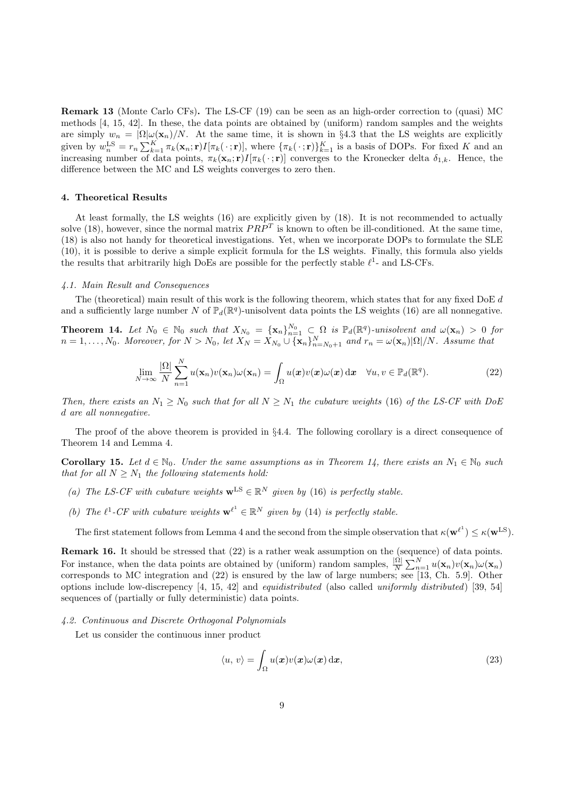Remark 13 (Monte Carlo CFs). The LS-CF (19) can be seen as an high-order correction to (quasi) MC methods [4, 15, 42]. In these, the data points are obtained by (uniform) random samples and the weights are simply  $w_n = \Omega \omega(\mathbf{x}_n)/N$ . At the same time, it is shown in §4.3 that the LS weights are explicitly given by  $w_n^{\text{LS}} = r_n \sum_{k=1}^K \pi_k(\mathbf{x}_n; \mathbf{r}) I[\pi_k(\cdot; \mathbf{r})]$ , where  $\{\pi_k(\cdot; \mathbf{r})\}_{k=1}^K$  is a basis of DOPs. For fixed K and an increasing number of data points,  $\pi_k(\mathbf{x}_n; \mathbf{r})I[\pi_k(\cdot; \mathbf{r})]$  converges to the Kronecker delta  $\delta_{1,k}$ . Hence, the difference between the MC and LS weights converges to zero then.

#### 4. Theoretical Results

At least formally, the LS weights (16) are explicitly given by (18). It is not recommended to actually solve (18), however, since the normal matrix  $PRP<sup>T</sup>$  is known to often be ill-conditioned. At the same time, (18) is also not handy for theoretical investigations. Yet, when we incorporate DOPs to formulate the SLE (10), it is possible to derive a simple explicit formula for the LS weights. Finally, this formula also yields the results that arbitrarily high DoEs are possible for the perfectly stable  $\ell^1$ - and LS-CFs.

# 4.1. Main Result and Consequences

The (theoretical) main result of this work is the following theorem, which states that for any fixed DoE d and a sufficiently large number N of  $\mathbb{P}_d(\mathbb{R}^q)$ -unisolvent data points the LS weights (16) are all nonnegative.

**Theorem 14.** Let  $N_0 \in \mathbb{N}_0$  such that  $X_{N_0} = {\mathbf{x}_n}_{n=1}^{N_0} \subset \Omega$  is  $\mathbb{P}_d(\mathbb{R}^q)$ -unisolvent and  $\omega(\mathbf{x}_n) > 0$  for  $n=1,\ldots,N_0$ . Moreover, for  $N>N_0$ , let  $X_N=X_{N_0}\cup {\{\mathbf{x}_n\}}_{n=N_0+1}^N$  and  $r_n=\omega(\mathbf{x}_n)|\Omega|/N$ . Assume that

$$
\lim_{N \to \infty} \frac{|\Omega|}{N} \sum_{n=1}^{N} u(\mathbf{x}_n) v(\mathbf{x}_n) \omega(\mathbf{x}_n) = \int_{\Omega} u(\mathbf{x}) v(\mathbf{x}) \omega(\mathbf{x}) \, \mathrm{d}\mathbf{x} \quad \forall u, v \in \mathbb{P}_d(\mathbb{R}^q). \tag{22}
$$

Then, there exists an  $N_1 \geq N_0$  such that for all  $N \geq N_1$  the cubature weights (16) of the LS-CF with DoE d are all nonnegative.

The proof of the above theorem is provided in §4.4. The following corollary is a direct consequence of Theorem 14 and Lemma 4.

**Corollary 15.** Let  $d \in \mathbb{N}_0$ . Under the same assumptions as in Theorem 14, there exists an  $N_1 \in \mathbb{N}_0$  such that for all  $N > N_1$  the following statements hold:

- (a) The LS-CF with cubature weights  $\mathbf{w}^{\text{LS}} \in \mathbb{R}^N$  given by (16) is perfectly stable.
- (b) The  $\ell^1$ -CF with cubature weights  $\mathbf{w}^{\ell^1} \in \mathbb{R}^N$  given by (14) is perfectly stable.

The first statement follows from Lemma 4 and the second from the simple observation that  $\kappa(\mathbf{w}^{\ell^1}) \leq \kappa(\mathbf{w}^{\text{LS}})$ .

Remark 16. It should be stressed that  $(22)$  is a rather weak assumption on the (sequence) of data points. For instance, when the data points are obtained by (uniform) random samples,  $\frac{|\Omega|}{N} \sum_{n=1}^{N} u(\mathbf{x}_n) v(\mathbf{x}_n) \omega(\mathbf{x}_n)$ corresponds to MC integration and (22) is ensured by the law of large numbers; see [13, Ch. 5.9]. Other options include low-discrepency [4, 15, 42] and equidistributed (also called uniformly distributed) [39, 54] sequences of (partially or fully deterministic) data points.

#### 4.2. Continuous and Discrete Orthogonal Polynomials

Let us consider the continuous inner product

$$
\langle u, v \rangle = \int_{\Omega} u(\boldsymbol{x}) v(\boldsymbol{x}) \omega(\boldsymbol{x}) \, \mathrm{d}\boldsymbol{x}, \tag{23}
$$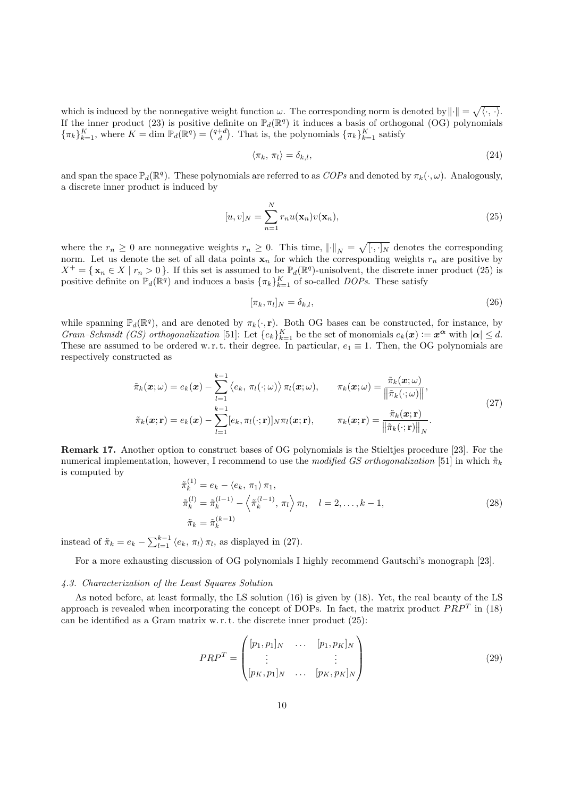which is induced by the nonnegative weight function  $\omega$ . The corresponding norm is denoted by  $\|\cdot\| = \sqrt{\langle \cdot, \cdot \rangle}$ . If the inner product (23) is positive definite on  $\mathbb{P}_d(\mathbb{R}^q)$  it induces a basis of orthogonal (OG) polynomials  ${\{\pi_k\}}_{k=1}^K$ , where  $K = \dim \mathbb{P}_d(\mathbb{R}^q) = {\binom{q+d}{d}}$ . That is, the polynomials  ${\{\pi_k\}}_{k=1}^K$  satisfy

$$
\langle \pi_k, \, \pi_l \rangle = \delta_{k,l},\tag{24}
$$

and span the space  $\mathbb{P}_d(\mathbb{R}^q)$ . These polynomials are referred to as  $COPs$  and denoted by  $\pi_k(\cdot,\omega)$ . Analogously, a discrete inner product is induced by

$$
[u, v]_N = \sum_{n=1}^N r_n u(\mathbf{x}_n) v(\mathbf{x}_n),
$$
\n(25)

where the  $r_n \geq 0$  are nonnegative weights  $r_n \geq 0$ . This time,  $\left\| \cdot \right\|_N = \sqrt{[\cdot, \cdot]_N}$  denotes the corresponding norm. Let us denote the set of all data points  $x_n$  for which the corresponding weights  $r_n$  are positive by  $X^+ = \{ \mathbf{x}_n \in X \mid r_n > 0 \}.$  If this set is assumed to be  $\mathbb{P}_d(\mathbb{R}^q)$ -unisolvent, the discrete inner product (25) is positive definite on  $\mathbb{P}_d(\mathbb{R}^q)$  and induces a basis  $\{\pi_k\}_{k=1}^K$  of so-called *DOPs*. These satisfy

$$
[\pi_k, \pi_l]_N = \delta_{k,l},\tag{26}
$$

while spanning  $\mathbb{P}_d(\mathbb{R}^q)$ , and are denoted by  $\pi_k(\cdot, \mathbf{r})$ . Both OG bases can be constructed, for instance, by Gram–Schmidt (GS) orthogonalization [51]: Let  $\{e_k\}_{k=1}^K$  be the set of monomials  $e_k(x) := x^{\alpha}$  with  $|\alpha| \leq d$ . These are assumed to be ordered w.r.t. their degree. In particular,  $e_1 \equiv 1$ . Then, the OG polynomials are respectively constructed as

$$
\tilde{\pi}_k(\boldsymbol{x};\omega) = e_k(\boldsymbol{x}) - \sum_{l=1}^{k-1} \langle e_k, \pi_l(\cdot;\omega) \rangle \pi_l(\boldsymbol{x};\omega), \qquad \pi_k(\boldsymbol{x};\omega) = \frac{\tilde{\pi}_k(\boldsymbol{x};\omega)}{\|\tilde{\pi}_k(\cdot;\omega)\|},
$$
\n
$$
\tilde{\pi}_k(\boldsymbol{x};\mathbf{r}) = e_k(\boldsymbol{x}) - \sum_{l=1}^{k-1} [e_k, \pi_l(\cdot;\mathbf{r})]_N \pi_l(\boldsymbol{x};\mathbf{r}), \qquad \pi_k(\boldsymbol{x};\mathbf{r}) = \frac{\tilde{\pi}_k(\boldsymbol{x};\mathbf{r})}{\|\tilde{\pi}_k(\cdot;\mathbf{r})\|_N}.
$$
\n(27)

Remark 17. Another option to construct bases of OG polynomials is the Stieltjes procedure [23]. For the numerical implementation, however, I recommend to use the modified GS orthogonalization [51] in which  $\tilde{\pi}_k$ is computed by

$$
\begin{aligned}\n\tilde{\pi}_k^{(1)} &= e_k - \langle e_k, \pi_1 \rangle \pi_1, \\
\tilde{\pi}_k^{(l)} &= \tilde{\pi}_k^{(l-1)} - \left\langle \tilde{\pi}_k^{(l-1)}, \pi_l \right\rangle \pi_l, \quad l = 2, \dots, k-1, \\
\tilde{\pi}_k &= \tilde{\pi}_k^{(k-1)}\n\end{aligned} \tag{28}
$$

instead of  $\tilde{\pi}_k = e_k - \sum_{l=1}^{k-1} \langle e_k, \pi_l \rangle \pi_l$ , as displayed in (27).

For a more exhausting discussion of OG polynomials I highly recommend Gautschi's monograph [23].

# 4.3. Characterization of the Least Squares Solution

As noted before, at least formally, the LS solution (16) is given by (18). Yet, the real beauty of the LS approach is revealed when incorporating the concept of DOPs. In fact, the matrix product  $PRP<sup>T</sup>$  in (18) can be identified as a Gram matrix w. r. t. the discrete inner product (25):

$$
PRP^{T} = \begin{pmatrix} [p_1, p_1]_N & \dots & [p_1, p_K]_N \\ \vdots & & \vdots \\ [p_K, p_1]_N & \dots & [p_K, p_K]_N \end{pmatrix}
$$
(29)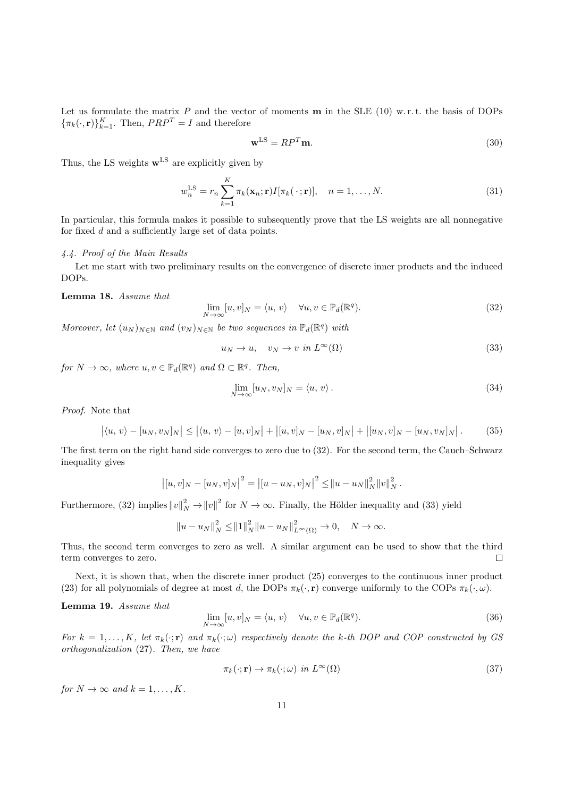Let us formulate the matrix  $P$  and the vector of moments  $\bf{m}$  in the SLE (10) w.r.t. the basis of DOPs  ${\{\pi_k(\cdot,\mathbf{r})\}}_{k=1}^K$ . Then,  $PRP^T = I$  and therefore

$$
\mathbf{w}^{\text{LS}} = RP^T \mathbf{m}.\tag{30}
$$

Thus, the LS weights  $\mathbf{w}^{\text{LS}}$  are explicitly given by

$$
w_n^{\text{LS}} = r_n \sum_{k=1}^K \pi_k(\mathbf{x}_n; \mathbf{r}) I[\pi_k(\cdot; \mathbf{r})], \quad n = 1, \dots, N. \tag{31}
$$

In particular, this formula makes it possible to subsequently prove that the LS weights are all nonnegative for fixed d and a sufficiently large set of data points.

# 4.4. Proof of the Main Results

Let me start with two preliminary results on the convergence of discrete inner products and the induced DOPs.

Lemma 18. Assume that

$$
\lim_{N \to \infty} [u, v]_N = \langle u, v \rangle \quad \forall u, v \in \mathbb{P}_d(\mathbb{R}^q). \tag{32}
$$

Moreover, let  $(u_N)_{N \in \mathbb{N}}$  and  $(v_N)_{N \in \mathbb{N}}$  be two sequences in  $\mathbb{P}_d(\mathbb{R}^q)$  with

$$
u_N \to u, \quad v_N \to v \text{ in } L^{\infty}(\Omega) \tag{33}
$$

for  $N \to \infty$ , where  $u, v \in \mathbb{P}_d(\mathbb{R}^q)$  and  $\Omega \subset \mathbb{R}^q$ . Then,

$$
\lim_{N \to \infty} [u_N, v_N]_N = \langle u, v \rangle. \tag{34}
$$

Proof. Note that

$$
|\langle u, v \rangle - [u_N, v_N]_N| \le |\langle u, v \rangle - [u, v]_N| + |[u, v]_N - [u_N, v]_N| + |[u_N, v]_N - [u_N, v_N]_N|.
$$
 (35)

The first term on the right hand side converges to zero due to (32). For the second term, the Cauch–Schwarz inequality gives

$$
||(u, v)|_N - [u_N, v]_N|^2 = ||u - u_N, v]_N|^2 \le ||u - u_N||_N^2 ||v||_N^2.
$$

Furthermore, (32) implies  $||v||_N^2 \to ||v||^2$  for  $N \to \infty$ . Finally, the Hölder inequality and (33) yield

 $||u - u_N||_N^2 \le ||1||_N^2 ||u - u_N||_{L^{\infty}(\Omega)}^2 \to 0, \quad N \to \infty.$ 

Thus, the second term converges to zero as well. A similar argument can be used to show that the third term converges to zero.  $\Box$ 

Next, it is shown that, when the discrete inner product (25) converges to the continuous inner product (23) for all polynomials of degree at most d, the DOPs  $\pi_k(\cdot, \mathbf{r})$  converge uniformly to the COPs  $\pi_k(\cdot, \omega)$ .

Lemma 19. Assume that

$$
\lim_{N \to \infty} [u, v]_N = \langle u, v \rangle \quad \forall u, v \in \mathbb{P}_d(\mathbb{R}^q). \tag{36}
$$

For  $k = 1, ..., K$ , let  $\pi_k(\cdot; \mathbf{r})$  and  $\pi_k(\cdot; \omega)$  respectively denote the k-th DOP and COP constructed by GS orthogonalization (27). Then, we have

$$
\pi_k(\cdot; \mathbf{r}) \to \pi_k(\cdot; \omega) \ \text{in} \ L^{\infty}(\Omega) \tag{37}
$$

for  $N \to \infty$  and  $k = 1, ..., K$ .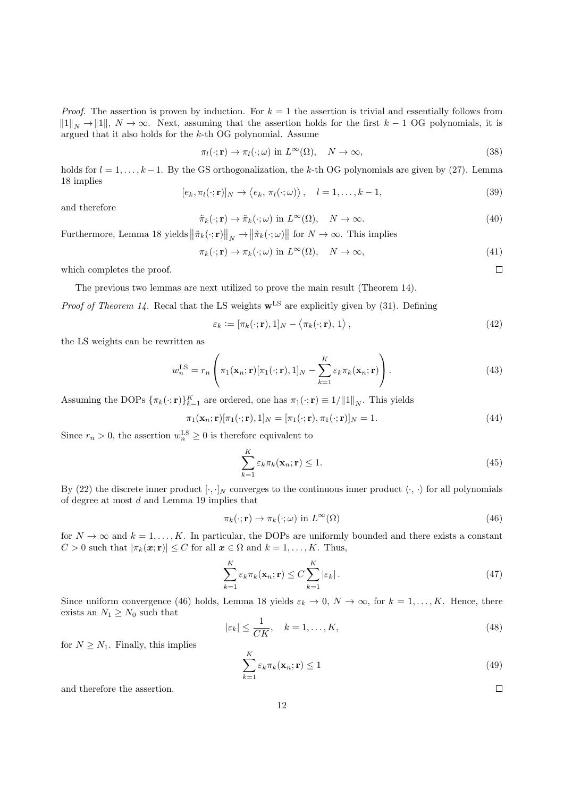*Proof.* The assertion is proven by induction. For  $k = 1$  the assertion is trivial and essentially follows from  $||1||_N \to ||1||$ ,  $N \to \infty$ . Next, assuming that the assertion holds for the first  $k - 1$  OG polynomials, it is argued that it also holds for the k-th OG polynomial. Assume

$$
\pi_l(\cdot; \mathbf{r}) \to \pi_l(\cdot; \omega) \text{ in } L^{\infty}(\Omega), \quad N \to \infty,
$$
\n(38)

holds for  $l = 1, \ldots, k-1$ . By the GS orthogonalization, the k-th OG polynomials are given by (27). Lemma 18 implies

$$
[e_k, \pi_l(\cdot; \mathbf{r})]_N \to \langle e_k, \pi_l(\cdot; \omega) \rangle, \quad l = 1, \dots, k - 1,
$$
\n(39)

and therefore

$$
\tilde{\pi}_k(\cdot; \mathbf{r}) \to \tilde{\pi}_k(\cdot; \omega) \text{ in } L^{\infty}(\Omega), \quad N \to \infty.
$$
\n(40)

Furthermore, Lemma 18 yields  $\|\tilde{\pi}_k(\cdot;\mathbf{r})\|_N \to \|\tilde{\pi}_k(\cdot;\omega)\|$  for  $N \to \infty$ . This implies

$$
\pi_k(\cdot; \mathbf{r}) \to \pi_k(\cdot; \omega) \text{ in } L^{\infty}(\Omega), \quad N \to \infty,
$$
\n(41)

 $\Box$ 

 $\Box$ 

which completes the proof.

The previous two lemmas are next utilized to prove the main result (Theorem 14).

*Proof of Theorem 14.* Recal that the LS weights  $\mathbf{w}^{\text{LS}}$  are explicitly given by (31). Defining

$$
\varepsilon_k := [\pi_k(\cdot; \mathbf{r}), 1]_N - \langle \pi_k(\cdot; \mathbf{r}), 1 \rangle, \tag{42}
$$

the LS weights can be rewritten as

$$
w_n^{\text{LS}} = r_n \left( \pi_1(\mathbf{x}_n; \mathbf{r}) [\pi_1(\cdot; \mathbf{r}), 1]_N - \sum_{k=1}^K \varepsilon_k \pi_k(\mathbf{x}_n; \mathbf{r}) \right).
$$
 (43)

Assuming the DOPs  $\{\pi_k(\cdot; \mathbf{r})\}_{k=1}^K$  are ordered, one has  $\pi_1(\cdot; \mathbf{r}) \equiv 1/||1||_N$ . This yields

$$
\pi_1(\mathbf{x}_n; \mathbf{r})[\pi_1(\cdot; \mathbf{r}), 1]_N = [\pi_1(\cdot; \mathbf{r}), \pi_1(\cdot; \mathbf{r})]_N = 1.
$$
\n(44)

Since  $r_n > 0$ , the assertion  $w_n^{\text{LS}} \geq 0$  is therefore equivalent to

$$
\sum_{k=1}^{K} \varepsilon_k \pi_k(\mathbf{x}_n; \mathbf{r}) \le 1.
$$
\n(45)

By (22) the discrete inner product  $[\cdot, \cdot]_N$  converges to the continuous inner product  $\langle \cdot, \cdot \rangle$  for all polynomials of degree at most d and Lemma 19 implies that

$$
\pi_k(\cdot; \mathbf{r}) \to \pi_k(\cdot; \omega) \text{ in } L^{\infty}(\Omega)
$$
\n(46)

for  $N \to \infty$  and  $k = 1, \ldots, K$ . In particular, the DOPs are uniformly bounded and there exists a constant  $C > 0$  such that  $|\pi_k(\mathbf{x}; \mathbf{r})| \leq C$  for all  $\mathbf{x} \in \Omega$  and  $k = 1, ..., K$ . Thus,

$$
\sum_{k=1}^{K} \varepsilon_k \pi_k(\mathbf{x}_n; \mathbf{r}) \le C \sum_{k=1}^{K} |\varepsilon_k| \,. \tag{47}
$$

Since uniform convergence (46) holds, Lemma 18 yields  $\varepsilon_k \to 0$ ,  $N \to \infty$ , for  $k = 1, ..., K$ . Hence, there exists an  $N_1 \geq N_0$  such that

$$
|\varepsilon_k| \le \frac{1}{CK}, \quad k = 1, \dots, K,\tag{48}
$$

for  $N \geq N_1$ . Finally, this implies

$$
\sum_{k=1}^{K} \varepsilon_k \pi_k(\mathbf{x}_n; \mathbf{r}) \le 1
$$
\n(49)

and therefore the assertion.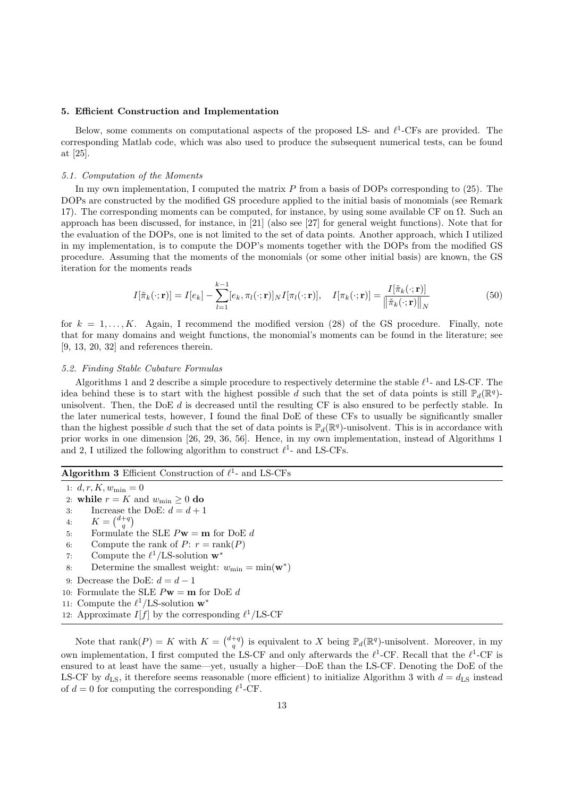#### 5. Efficient Construction and Implementation

Below, some comments on computational aspects of the proposed LS- and  $\ell^1$ -CFs are provided. The corresponding Matlab code, which was also used to produce the subsequent numerical tests, can be found at [25].

#### 5.1. Computation of the Moments

In my own implementation, I computed the matrix  $P$  from a basis of DOPs corresponding to (25). The DOPs are constructed by the modified GS procedure applied to the initial basis of monomials (see Remark 17). The corresponding moments can be computed, for instance, by using some available CF on  $\Omega$ . Such an approach has been discussed, for instance, in [21] (also see [27] for general weight functions). Note that for the evaluation of the DOPs, one is not limited to the set of data points. Another approach, which I utilized in my implementation, is to compute the DOP's moments together with the DOPs from the modified GS procedure. Assuming that the moments of the monomials (or some other initial basis) are known, the GS iteration for the moments reads

$$
I[\tilde{\pi}_k(\cdot; \mathbf{r})] = I[e_k] - \sum_{l=1}^{k-1} [e_k, \pi_l(\cdot; \mathbf{r})]_N I[\pi_l(\cdot; \mathbf{r})], \quad I[\pi_k(\cdot; \mathbf{r})] = \frac{I[\tilde{\pi}_k(\cdot; \mathbf{r})]}{\|\tilde{\pi}_k(\cdot; \mathbf{r})\|_N}
$$
(50)

for  $k = 1, \ldots, K$ . Again, I recommend the modified version (28) of the GS procedure. Finally, note that for many domains and weight functions, the monomial's moments can be found in the literature; see [9, 13, 20, 32] and references therein.

#### 5.2. Finding Stable Cubature Formulas

Algorithms 1 and 2 describe a simple procedure to respectively determine the stable  $\ell^1$ - and LS-CF. The idea behind these is to start with the highest possible d such that the set of data points is still  $\mathbb{P}_d(\mathbb{R}^q)$ unisolvent. Then, the DoE  $d$  is decreased until the resulting CF is also ensured to be perfectly stable. In the later numerical tests, however, I found the final DoE of these CFs to usually be significantly smaller than the highest possible d such that the set of data points is  $\mathbb{P}_d(\mathbb{R}^q)$ -unisolvent. This is in accordance with prior works in one dimension [26, 29, 36, 56]. Hence, in my own implementation, instead of Algorithms 1 and 2, I utilized the following algorithm to construct  $\ell^1$ - and LS-CFs.

# Algorithm 3 Efficient Construction of  $\ell^1$ - and LS-CFs

1:  $d, r, K, w_{\min} = 0$ 2: while  $r = K$  and  $w_{\min} \geq 0$  do 3: Increase the DoE:  $d = d + 1$ 4:  $K = \binom{d+q}{q}$ 5: Formulate the SLE  $P$ **w** = **m** for DoE d 6: Compute the rank of  $P: r = \text{rank}(P)$ 7: Compute the  $\ell^1/\text{LS}$ -solution  $\mathbf{w}^*$ 8: Determine the smallest weight:  $w_{\min} = \min(\mathbf{w}^*)$ 9: Decrease the DoE:  $d = d - 1$ 10: Formulate the SLE  $P$ **w** = **m** for DoE d 11: Compute the  $\ell^1/\text{LS-solution } \mathbf{w}^*$ 12: Approximate  $I[f]$  by the corresponding  $\ell^1/\text{LS-CF}$ 

Note that  $rank(P) = K$  with  $K = \binom{d+q}{q}$  is equivalent to X being  $\mathbb{P}_d(\mathbb{R}^q)$ -unisolvent. Moreover, in my own implementation, I first computed the LS-CF and only afterwards the  $\ell^1$ -CF. Recall that the  $\ell^1$ -CF is ensured to at least have the same—yet, usually a higher—DoE than the LS-CF. Denoting the DoE of the LS-CF by  $d_{LS}$ , it therefore seems reasonable (more efficient) to initialize Algorithm 3 with  $d = d_{LS}$  instead of  $d = 0$  for computing the corresponding  $\ell^1$ -CF.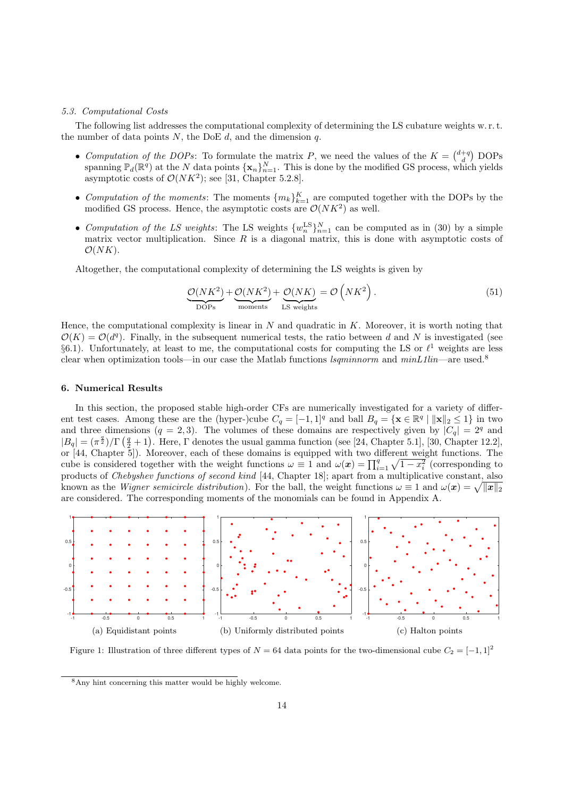#### 5.3. Computational Costs

The following list addresses the computational complexity of determining the LS cubature weights w. r. t. the number of data points  $N$ , the DoE  $d$ , and the dimension  $q$ .

- Computation of the DOPs: To formulate the matrix P, we need the values of the  $K = \begin{pmatrix} d+q \\ d \end{pmatrix}$  DOPs spanning  $\mathbb{P}_d(\mathbb{R}^q)$  at the N data points  $\{\mathbf{x}_n\}_{n=1}^N$ . This is done by the modified GS process, which yields asymptotic costs of  $\mathcal{O}(NK^2)$ ; see [31, Chapter 5.2.8].
- Computation of the moments: The moments  $\{m_k\}_{k=1}^K$  are computed together with the DOPs by the modified GS process. Hence, the asymptotic costs are  $\mathcal{O}(NK^2)$  as well.
- Computation of the LS weights: The LS weights  $\{w_n^{\text{LS}}\}_{n=1}^N$  can be computed as in (30) by a simple matrix vector multiplication. Since  $R$  is a diagonal matrix, this is done with asymptotic costs of  $\mathcal{O}(NK)$ .

Altogether, the computational complexity of determining the LS weights is given by

$$
\underbrace{\mathcal{O}(NK^2)}_{\text{DOPs}} + \underbrace{\mathcal{O}(NK^2)}_{\text{moments}} + \underbrace{\mathcal{O}(NK)}_{\text{LS weights}} = \mathcal{O}\left(NK^2\right). \tag{51}
$$

Hence, the computational complexity is linear in  $N$  and quadratic in  $K$ . Moreover, it is worth noting that  $\mathcal{O}(K) = \mathcal{O}(d^q)$ . Finally, in the subsequent numerical tests, the ratio between d and N is investigated (see §6.1). Unfortunately, at least to me, the computational costs for computing the LS or  $\ell^1$  weights are less clear when optimization tools—in our case the Matlab functions lsqminnorm and minL1lin—are used.<sup>8</sup>

# 6. Numerical Results

In this section, the proposed stable high-order CFs are numerically investigated for a variety of different test cases. Among these are the (hyper-)cube  $C_q = [-1,1]^q$  and ball  $B_q = \{ \mathbf{x} \in \mathbb{R}^q \mid ||\mathbf{x}||_2 \leq 1 \}$  in two and three dimensions  $(q = 2, 3)$ . The volumes of these domains are respectively given by  $|C_q| = 2<sup>q</sup>$  and  $|B_q| = (\pi^{\frac{q}{2}})/\Gamma(\frac{q}{2}+1)$ . Here, Γ denotes the usual gamma function (see [24, Chapter 5.1], [30, Chapter 12.2], or [44, Chapter 5]). Moreover, each of these domains is equipped with two different weight functions. The cube is considered together with the weight functions  $\omega \equiv 1$  and  $\omega(x) = \prod_{i=1}^{q} \sqrt{1-x_i^2}$  (corresponding to products of Chebyshev functions of second kind [44, Chapter 18]; apart from a multiplicative constant, also known as the *Wigner semicircle distribution*). For the ball, the weight functions  $\omega \equiv 1$  and  $\omega(\bm{x}) = \sqrt{\|\bm{x}\|_2}$ are considered. The corresponding moments of the monomials can be found in Appendix A.



Figure 1: Illustration of three different types of  $N = 64$  data points for the two-dimensional cube  $C_2 = [-1, 1]^2$ 

<sup>8</sup>Any hint concerning this matter would be highly welcome.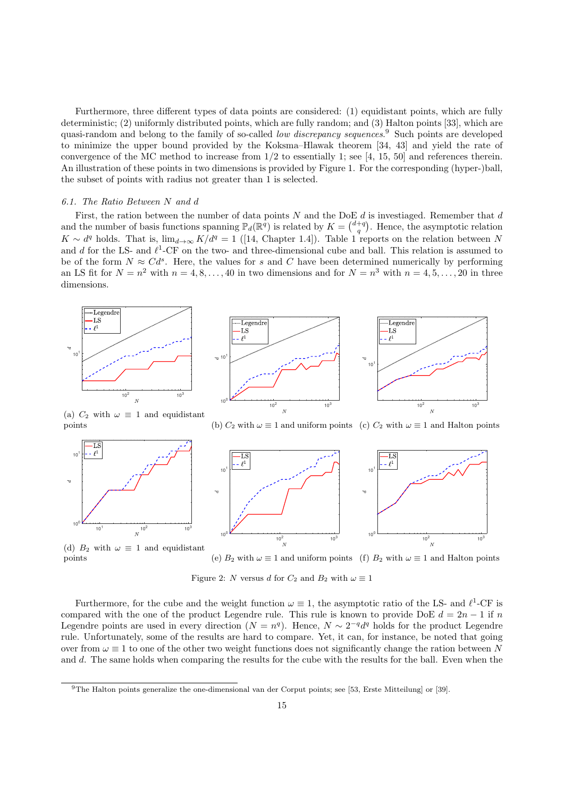Furthermore, three different types of data points are considered: (1) equidistant points, which are fully deterministic; (2) uniformly distributed points, which are fully random; and (3) Halton points [33], which are quasi-random and belong to the family of so-called low discrepancy sequences.<sup>9</sup> Such points are developed to minimize the upper bound provided by the Koksma–Hlawak theorem [34, 43] and yield the rate of convergence of the MC method to increase from 1/2 to essentially 1; see [4, 15, 50] and references therein. An illustration of these points in two dimensions is provided by Figure 1. For the corresponding (hyper-)ball, the subset of points with radius not greater than 1 is selected.

#### 6.1. The Ratio Between N and d

First, the ration between the number of data points  $N$  and the DoE  $d$  is investiaged. Remember that  $d$ and the number of basis functions spanning  $\mathbb{P}_d(\mathbb{R}^q)$  is related by  $K = \binom{d+q}{q}$ . Hence, the asymptotic relation  $K \sim d^q$  holds. That is,  $\lim_{d\to\infty} K/d^q = 1$  ([14, Chapter 1.4]). Table 1 reports on the relation between N and d for the LS- and  $\ell^1$ -CF on the two- and three-dimensional cube and ball. This relation is assumed to be of the form  $N \approx C d^s$ . Here, the values for s and C have been determined numerically by performing an LS fit for  $N = n^2$  with  $n = 4, 8, ..., 40$  in two dimensions and for  $N = n^3$  with  $n = 4, 5, ..., 20$  in three dimensions.





(a)  $C_2$  with  $\omega \equiv 1$  and equidistant points

(b)  $C_2$  with  $\omega \equiv 1$  and uniform points (c)  $C_2$  with  $\omega \equiv 1$  and Halton points



(d)  $B_2$  with  $\omega \equiv 1$  and equidistant points

(e)  $B_2$  with  $\omega \equiv 1$  and uniform points (f)  $B_2$  with  $\omega \equiv 1$  and Halton points

Figure 2: N versus d for  $C_2$  and  $B_2$  with  $\omega \equiv 1$ 

Furthermore, for the cube and the weight function  $\omega \equiv 1$ , the asymptotic ratio of the LS- and  $\ell^1$ -CF is compared with the one of the product Legendre rule. This rule is known to provide DoE  $d = 2n - 1$  if n Legendre points are used in every direction  $(N = n<sup>q</sup>)$ . Hence,  $N \sim 2^{-q} d<sup>q</sup>$  holds for the product Legendre rule. Unfortunately, some of the results are hard to compare. Yet, it can, for instance, be noted that going over from  $\omega \equiv 1$  to one of the other two weight functions does not significantly change the ration between N and d. The same holds when comparing the results for the cube with the results for the ball. Even when the

<sup>9</sup>The Halton points generalize the one-dimensional van der Corput points; see [53, Erste Mitteilung] or [39].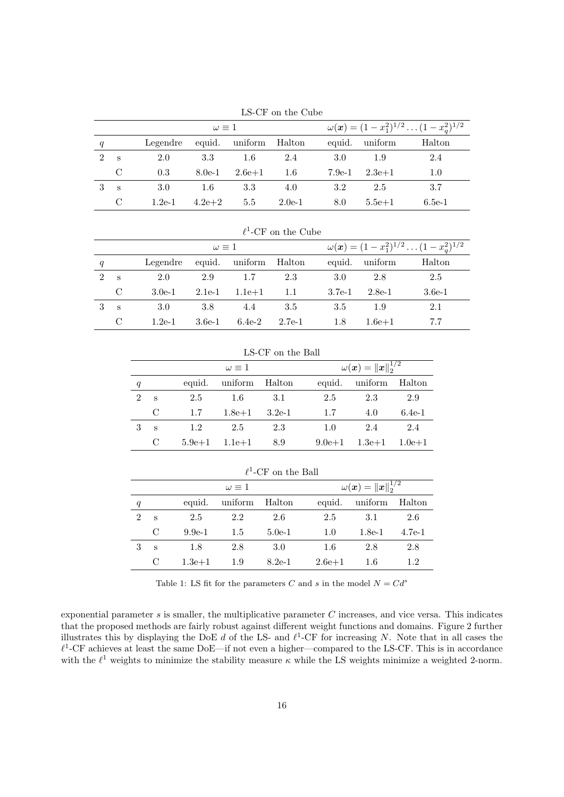| LO VI VII VIIV VUDU |          |                   |            |          |          |        |                                                                  |          |  |  |
|---------------------|----------|-------------------|------------|----------|----------|--------|------------------------------------------------------------------|----------|--|--|
|                     |          | $\omega \equiv 1$ |            |          |          |        | $\omega(\boldsymbol{x}) = (1-x_1^2)^{1/2} \dots (1-x_a^2)^{1/2}$ |          |  |  |
| q                   |          | Legendre          | equid.     | uniform  | Halton   | equid. | uniform                                                          | Halton   |  |  |
| $\mathcal{L}$       | <b>S</b> | 2.0               | 3.3        | 1.6      | 2.4      | 3.0    | 1.9                                                              | 2.4      |  |  |
|                     | C        | 0.3               | $8.0e-1$   | $2.6e+1$ | 1.6      | 7.9e-1 | $2.3e + 1$                                                       | 1.0      |  |  |
|                     | S        | 3.0               | $1.6\,$    | 3.3      | 4.0      | 3.2    | 2.5                                                              | 3.7      |  |  |
|                     | C        | $1.2e-1$          | $4.2e + 2$ | 5.5      | $2.0e-1$ | 8.0    | $5.5e + 1$                                                       | $6.5e-1$ |  |  |

LS-CF on the Cube

| $\ell^1$ -CF on the Cube    |              |                   |          |                |        |          |                                                                  |          |  |
|-----------------------------|--------------|-------------------|----------|----------------|--------|----------|------------------------------------------------------------------|----------|--|
|                             |              | $\omega \equiv 1$ |          |                |        |          | $\omega(\boldsymbol{x}) = (1-x_1^2)^{1/2} \dots (1-x_a^2)^{1/2}$ |          |  |
| q                           |              | Legendre          |          | equid. uniform | Halton | equid.   | uniform                                                          | Halton   |  |
| $\mathcal{D}_{\mathcal{L}}$ | -S           | 2.0               | 2.9      | 1.7            | 2.3    | 3.0      | 2.8                                                              | 2.5      |  |
|                             | C            | $3.0e-1$          | $2.1e-1$ | $1.1e + 1$     | -1.1   | $3.7e-1$ | $2.8e-1$                                                         | $3.6e-1$ |  |
| 3                           | $\mathbf{s}$ | 3.0               | 3.8      | 4.4            | 3.5    | 3.5      | 1.9                                                              | 2.1      |  |
|                             | C            | $1.2e-1$          | $3.6e-1$ | $6.4e-2$       | 2.7e-1 | 1.8      | $1.6e + 1$                                                       | 7.7      |  |

| LS-CF on the Ball |               |            |                   |                             |            |                |            |  |  |
|-------------------|---------------|------------|-------------------|-----------------------------|------------|----------------|------------|--|--|
|                   |               |            | $\omega \equiv 1$ | $\omega(x) =   x  _2^{1/2}$ |            |                |            |  |  |
| q                 |               | equid.     | uniform           | Halton                      |            | equid. uniform | Halton     |  |  |
| $\mathfrak{D}$    | S             | 2.5        | -1.6              | -3.1                        | 2.5        | 2.3            | 2.9        |  |  |
|                   | $\mathcal{C}$ | 1.7        | $1.8e + 1$        | $3.2e-1$                    | 1.7        | 4.0            | $6.4e-1$   |  |  |
| 3                 | S             | 1.2        | 2.5               | 2.3                         | 1.0        | 2.4            | 2.4        |  |  |
|                   | C             | $5.9e + 1$ | $1.1e+1$          | 8.9                         | $9.0e + 1$ | $1.3e + 1$     | $1.0e + 1$ |  |  |

 $\ell^1$ -CF on the Ball  $\omega \equiv 1$   $\omega(\boldsymbol{x}) = {\lVert \boldsymbol{x} \rVert}_2^{1/2}$ q equid. uniform Halton equid. uniform Halton 2 s 2.5 2.2 2.6 2.5 3.1 2.6 C 9.9e-1 1.5 5.0e-1 1.0 1.8e-1 4.7e-1 3 s 1.8 2.8 3.0 1.6 2.8 2.8 C  $1.3e+1$   $1.9$   $8.2e-1$   $2.6e+1$   $1.6$   $1.2$ 

Table 1: LS fit for the parameters C and s in the model  $N = Cd^{s}$ 

exponential parameter  $s$  is smaller, the multiplicative parameter  $C$  increases, and vice versa. This indicates that the proposed methods are fairly robust against different weight functions and domains. Figure 2 further illustrates this by displaying the DoE d of the LS- and  $\ell^1$ -CF for increasing N. Note that in all cases the  $\ell^1$ -CF achieves at least the same DoE—if not even a higher—compared to the LS-CF. This is in accordance with the  $\ell^1$  weights to minimize the stability measure  $\kappa$  while the LS weights minimize a weighted 2-norm.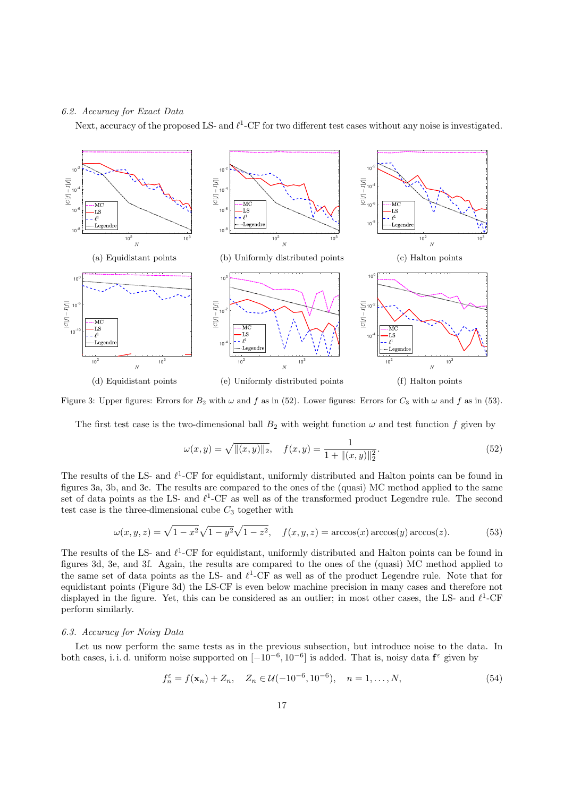#### 6.2. Accuracy for Exact Data

Next, accuracy of the proposed LS- and  $\ell^1$ -CF for two different test cases without any noise is investigated.



Figure 3: Upper figures: Errors for  $B_2$  with  $\omega$  and f as in (52). Lower figures: Errors for  $C_3$  with  $\omega$  and f as in (53).

The first test case is the two-dimensional ball  $B_2$  with weight function  $\omega$  and test function f given by

$$
\omega(x, y) = \sqrt{\|(x, y)\|_2}, \quad f(x, y) = \frac{1}{1 + \|(x, y)\|_2^2}.
$$
\n(52)

The results of the LS- and  $\ell^1$ -CF for equidistant, uniformly distributed and Halton points can be found in figures 3a, 3b, and 3c. The results are compared to the ones of the (quasi) MC method applied to the same set of data points as the LS- and  $\ell^1$ -CF as well as of the transformed product Legendre rule. The second test case is the three-dimensional cube  $C_3$  together with

$$
\omega(x, y, z) = \sqrt{1 - x^2} \sqrt{1 - y^2} \sqrt{1 - z^2}, \quad f(x, y, z) = \arccos(x) \arccos(y) \arccos(z). \tag{53}
$$

The results of the LS- and  $\ell^1$ -CF for equidistant, uniformly distributed and Halton points can be found in figures 3d, 3e, and 3f. Again, the results are compared to the ones of the (quasi) MC method applied to the same set of data points as the LS- and  $\ell^1$ -CF as well as of the product Legendre rule. Note that for equidistant points (Figure 3d) the LS-CF is even below machine precision in many cases and therefore not displayed in the figure. Yet, this can be considered as an outlier; in most other cases, the LS- and  $\ell^1$ -CF perform similarly.

#### 6.3. Accuracy for Noisy Data

Let us now perform the same tests as in the previous subsection, but introduce noise to the data. In both cases, i.i.d. uniform noise supported on  $[-10^{-6}, 10^{-6}]$  is added. That is, noisy data  $f^{\epsilon}$  given by

$$
f_n^{\varepsilon} = f(\mathbf{x}_n) + Z_n, \quad Z_n \in \mathcal{U}(-10^{-6}, 10^{-6}), \quad n = 1, ..., N,
$$
 (54)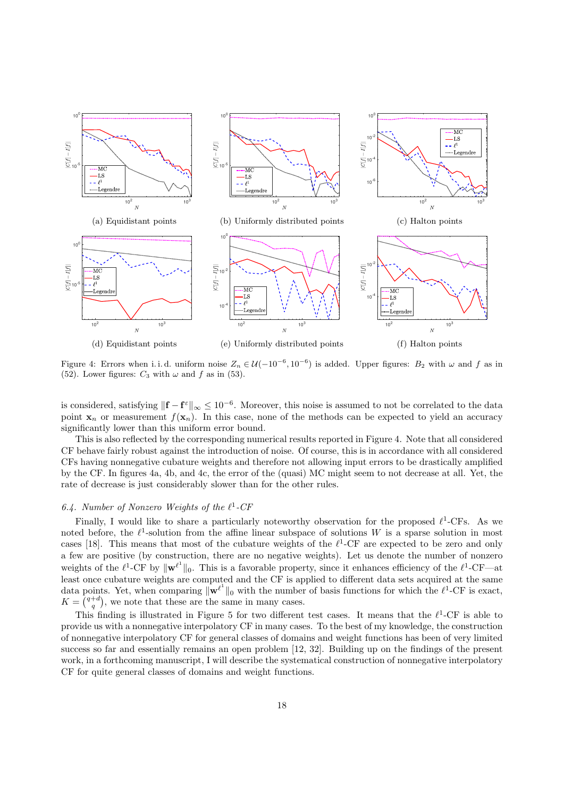

Figure 4: Errors when i.i.d. uniform noise  $Z_n \in \mathcal{U}(-10^{-6}, 10^{-6})$  is added. Upper figures:  $B_2$  with  $\omega$  and f as in (52). Lower figures:  $C_3$  with  $\omega$  and  $f$  as in (53).

is considered, satisfying  $\|\mathbf{f} - \mathbf{f}^{\varepsilon}\|_{\infty} \leq 10^{-6}$ . Moreover, this noise is assumed to not be correlated to the data point  $\mathbf{x}_n$  or measurement  $f(\mathbf{x}_n)$ . In this case, none of the methods can be expected to yield an accuracy significantly lower than this uniform error bound.

This is also reflected by the corresponding numerical results reported in Figure 4. Note that all considered CF behave fairly robust against the introduction of noise. Of course, this is in accordance with all considered CFs having nonnegative cubature weights and therefore not allowing input errors to be drastically amplified by the CF. In figures 4a, 4b, and 4c, the error of the (quasi) MC might seem to not decrease at all. Yet, the rate of decrease is just considerably slower than for the other rules.

# 6.4. Number of Nonzero Weights of the  $\ell^1$ -CF

Finally, I would like to share a particularly noteworthy observation for the proposed  $\ell^1$ -CFs. As we noted before, the  $\ell^1$ -solution from the affine linear subspace of solutions W is a sparse solution in most cases [18]. This means that most of the cubature weights of the  $\ell^1$ -CF are expected to be zero and only a few are positive (by construction, there are no negative weights). Let us denote the number of nonzero weights of the  $\ell^1$ -CF by  $\|\mathbf{w}^{\ell^1}\|_0$ . This is a favorable property, since it enhances efficiency of the  $\ell^1$ -CF—at least once cubature weights are computed and the CF is applied to different data sets acquired at the same data points. Yet, when comparing  $\|\mathbf{w}^{\ell^1}\|_0$  with the number of basis functions for which the  $\ell^1$ -CF is exact,  $K = \binom{q+d}{q}$ , we note that these are the same in many cases.

This finding is illustrated in Figure 5 for two different test cases. It means that the  $\ell^1$ -CF is able to provide us with a nonnegative interpolatory CF in many cases. To the best of my knowledge, the construction of nonnegative interpolatory CF for general classes of domains and weight functions has been of very limited success so far and essentially remains an open problem [12, 32]. Building up on the findings of the present work, in a forthcoming manuscript, I will describe the systematical construction of nonnegative interpolatory CF for quite general classes of domains and weight functions.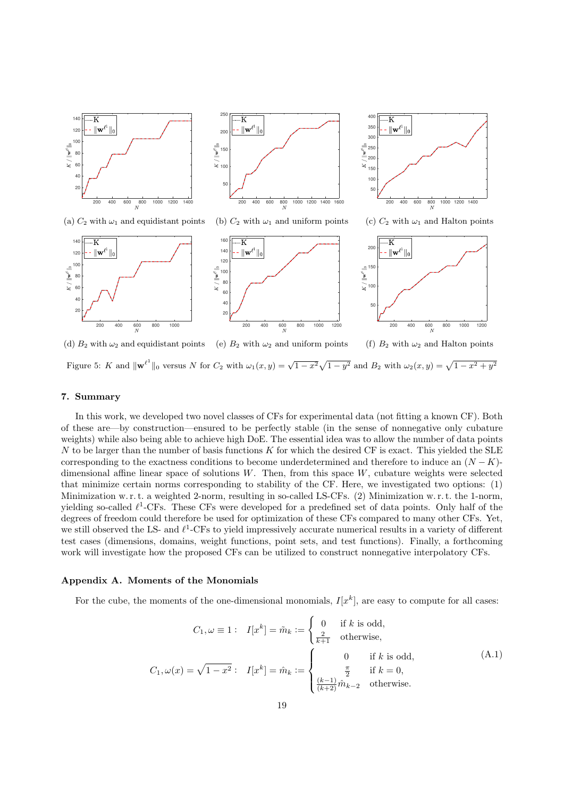



(b)  $C_2$  with  $\omega_1$  and uniform points

 $400$   $\vdash$  $\overline{\mathrm{K}}$ 350  $\| \mathbf{w}^\ell$ 30  $\frac{2}{3}$ 250  $\mathbb{R}^n$  $200$  $\overleftrightarrow{\approx}$  150 100 50 200 400 600 800 1000 1200 1400

(a)  $C_2$  with  $\omega_1$  and equidistant points

200 400 600 800 1000





(d)  $B_2$  with  $\omega_2$  and equidistant points (e)  $B_2$  with  $\omega_2$  and uniform points (f)  $B_2$  with  $\omega_2$  and Halton points Figure 5: K and  $\|\mathbf{w}^{\ell^1}\|_0$  versus N for  $C_2$  with  $\omega_1(x, y) = \sqrt{1-x^2}\sqrt{1-y^2}$  and  $B_2$  with  $\omega_2(x, y) = \sqrt{1-x^2+y^2}$ 

# 7. Summary

 $K$  /  $\|\mathbf{w}^{\ell}\|_0$ 

 $\overline{\text{K}}$ 

 $\parallel$ w<sup>(</sup>

In this work, we developed two novel classes of CFs for experimental data (not fitting a known CF). Both of these are—by construction—ensured to be perfectly stable (in the sense of nonnegative only cubature weights) while also being able to achieve high DoE. The essential idea was to allow the number of data points N to be larger than the number of basis functions K for which the desired CF is exact. This yielded the SLE corresponding to the exactness conditions to become underdetermined and therefore to induce an  $(N - K)$ dimensional affine linear space of solutions  $W$ . Then, from this space  $W$ , cubature weights were selected that minimize certain norms corresponding to stability of the CF. Here, we investigated two options: (1) Minimization w. r. t. a weighted 2-norm, resulting in so-called LS-CFs. (2) Minimization w. r. t. the 1-norm, yielding so-called  $\ell^1$ -CFs. These CFs were developed for a predefined set of data points. Only half of the degrees of freedom could therefore be used for optimization of these CFs compared to many other CFs. Yet, we still observed the LS- and  $\ell^1$ -CFs to yield impressively accurate numerical results in a variety of different test cases (dimensions, domains, weight functions, point sets, and test functions). Finally, a forthcoming work will investigate how the proposed CFs can be utilized to construct nonnegative interpolatory CFs.

#### Appendix A. Moments of the Monomials

For the cube, the moments of the one-dimensional monomials,  $I[x^k]$ , are easy to compute for all cases:

$$
C_1, \omega \equiv 1: \quad I[x^k] = \tilde{m}_k := \begin{cases} 0 & \text{if } k \text{ is odd,} \\ \frac{2}{k+1} & \text{otherwise,} \end{cases}
$$
\n
$$
C_1, \omega(x) = \sqrt{1 - x^2}: \quad I[x^k] = \hat{m}_k := \begin{cases} 0 & \text{if } k \text{ is odd,} \\ \frac{\pi}{2} & \text{if } k = 0, \\ \frac{(k-1)}{(k+2)} \hat{m}_{k-2} & \text{otherwise.} \end{cases} \tag{A.1}
$$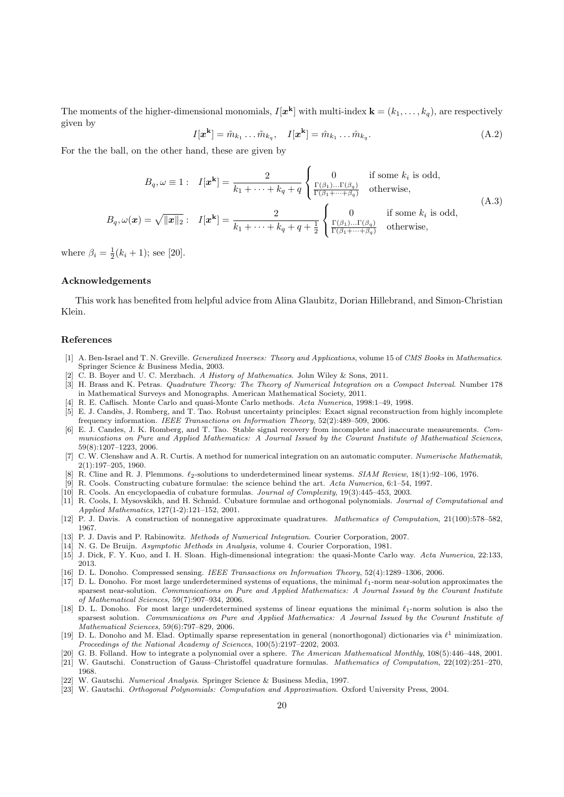The moments of the higher-dimensional monomials,  $I[x^k]$  with multi-index  $\mathbf{k} = (k_1, \ldots, k_q)$ , are respectively given by

$$
I[\boldsymbol{x}^{\mathbf{k}}] = \tilde{m}_{k_1} \dots \tilde{m}_{k_q}, \quad I[\boldsymbol{x}^{\mathbf{k}}] = \hat{m}_{k_1} \dots \hat{m}_{k_q}.
$$
\n(A.2)

For the the ball, on the other hand, these are given by

$$
B_q, \omega \equiv 1: \quad I[\mathbf{x}^k] = \frac{2}{k_1 + \dots + k_q + q} \begin{cases} 0 & \text{if some } k_i \text{ is odd,} \\ \frac{\Gamma(\beta_1) \dots \Gamma(\beta_q)}{\Gamma(\beta_1 + \dots + \beta_q)} & \text{otherwise,} \end{cases}
$$
\n
$$
B_q, \omega(\mathbf{x}) = \sqrt{\|\mathbf{x}\|_2}: \quad I[\mathbf{x}^k] = \frac{2}{k_1 + \dots + k_q + q + \frac{1}{2}} \begin{cases} 0 & \text{if some } k_i \text{ is odd,} \\ \frac{\Gamma(\beta_1) \dots \Gamma(\beta_q)}{\Gamma(\beta_1 + \dots + \beta_q)} & \text{otherwise,} \end{cases}
$$
\n(A.3)

where  $\beta_i = \frac{1}{2}(k_i + 1)$ ; see [20].

#### Acknowledgements

This work has benefited from helpful advice from Alina Glaubitz, Dorian Hillebrand, and Simon-Christian Klein.

#### References

- [1] A. Ben-Israel and T. N. Greville. Generalized Inverses: Theory and Applications, volume 15 of CMS Books in Mathematics. Springer Science & Business Media, 2003.
- [2] C. B. Boyer and U. C. Merzbach. A History of Mathematics. John Wiley & Sons, 2011.
- [3] H. Brass and K. Petras. Quadrature Theory: The Theory of Numerical Integration on a Compact Interval. Number 178 in Mathematical Surveys and Monographs. American Mathematical Society, 2011.
- [4] R. E. Caflisch. Monte Carlo and quasi-Monte Carlo methods. Acta Numerica, 1998:1–49, 1998.
- [5] E. J. Cand`es, J. Romberg, and T. Tao. Robust uncertainty principles: Exact signal reconstruction from highly incomplete frequency information. IEEE Transactions on Information Theory, 52(2):489–509, 2006.
- [6] E. J. Candes, J. K. Romberg, and T. Tao. Stable signal recovery from incomplete and inaccurate measurements. Communications on Pure and Applied Mathematics: A Journal Issued by the Courant Institute of Mathematical Sciences, 59(8):1207–1223, 2006.
- [7] C. W. Clenshaw and A. R. Curtis. A method for numerical integration on an automatic computer. Numerische Mathematik, 2(1):197–205, 1960.
- R. Cline and R. J. Plemmons.  $\ell_2$ -solutions to underdetermined linear systems. SIAM Review, 18(1):92–106, 1976.
- R. Cools. Constructing cubature formulae: the science behind the art. Acta Numerica, 6:1–54, 1997.
- [10] R. Cools. An encyclopaedia of cubature formulas. Journal of Complexity, 19(3):445–453, 2003.
- [11] R. Cools, I. Mysovskikh, and H. Schmid. Cubature formulae and orthogonal polynomials. Journal of Computational and Applied Mathematics, 127(1-2):121–152, 2001.
- [12] P. J. Davis. A construction of nonnegative approximate quadratures. Mathematics of Computation, 21(100):578–582, 1967.
- [13] P. J. Davis and P. Rabinowitz. Methods of Numerical Integration. Courier Corporation, 2007.
- [14] N. G. De Bruijn. Asymptotic Methods in Analysis, volume 4. Courier Corporation, 1981.
- [15] J. Dick, F. Y. Kuo, and I. H. Sloan. High-dimensional integration: the quasi-Monte Carlo way. Acta Numerica, 22:133, 2013.
- D. L. Donoho. Compressed sensing. IEEE Transactions on Information Theory, 52(4):1289-1306, 2006.
- [17] D. L. Donoho. For most large underdetermined systems of equations, the minimal  $\ell_1$ -norm near-solution approximates the sparsest near-solution. Communications on Pure and Applied Mathematics: A Journal Issued by the Courant Institute of Mathematical Sciences, 59(7):907–934, 2006.
- [18] D. L. Donoho. For most large underdetermined systems of linear equations the minimal  $\ell_1$ -norm solution is also the sparsest solution. Communications on Pure and Applied Mathematics: A Journal Issued by the Courant Institute of Mathematical Sciences, 59(6):797–829, 2006.
- [19] D. L. Donoho and M. Elad. Optimally sparse representation in general (nonorthogonal) dictionaries via  $\ell^1$  minimization. Proceedings of the National Academy of Sciences, 100(5):2197–2202, 2003.
- [20] G. B. Folland. How to integrate a polynomial over a sphere. The American Mathematical Monthly, 108(5):446–448, 2001.
- [21] W. Gautschi. Construction of Gauss–Christoffel quadrature formulas. Mathematics of Computation, 22(102):251–270, 1968.
- [22] W. Gautschi. Numerical Analysis. Springer Science & Business Media, 1997.
- [23] W. Gautschi. Orthogonal Polynomials: Computation and Approximation. Oxford University Press, 2004.